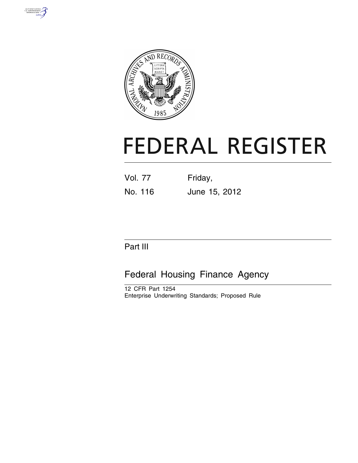



# **FEDERAL REGISTER**

| <b>Vol. 77</b> | Friday,       |
|----------------|---------------|
| No. 116        | June 15, 2012 |

# Part III

# Federal Housing Finance Agency

12 CFR Part 1254 Enterprise Underwriting Standards; Proposed Rule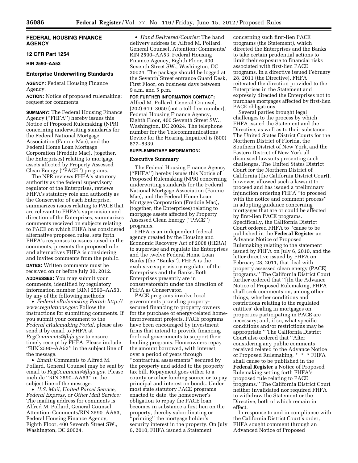# **FEDERAL HOUSING FINANCE AGENCY**

#### **12 CFR Part 1254**

**RIN 2590–AA53** 

# **Enterprise Underwriting Standards**

**AGENCY:** Federal Housing Finance Agency.

**ACTION:** Notice of proposed rulemaking; request for comments.

**SUMMARY:** The Federal Housing Finance Agency (''FHFA'') hereby issues this Notice of Proposed Rulemaking (NPR) concerning underwriting standards for the Federal National Mortgage Association (Fannie Mae), and the Federal Home Loan Mortgage Corporation (Freddie Mac), (together, the Enterprises) relating to mortgage assets affected by Property Assessed Clean Energy (''PACE'') programs.

The NPR reviews FHFA's statutory authority as the federal supervisory regulator of the Enterprises, reviews FHFA's statutory role and authority as the Conservator of each Enterprise, summarizes issues relating to PACE that are relevant to FHFA's supervision and direction of the Enterprises, summarizes comments received on subjects relating to PACE on which FHFA has considered alternative proposed rules, sets forth FHFA's responses to issues raised in the comments, presents the proposed rule and alternatives FHFA is considering, and invites comments from the public.

**DATES:** Written comments must be received on or before July 30, 2012. **ADDRESSES:** You may submit your comments, identified by regulatory information number (RIN) 2590–AA53, by any of the following methods:

• *Federal eRulemaking Portal: [http://](http://www.regulations.gov)  [www.regulations.gov:](http://www.regulations.gov)* Follow the instructions for submitting comments. If you submit your comment to the *Federal eRulemaking Portal,* please also send it by email to FHFA at *[RegComments@fhfa.gov](mailto:RegComments@fhfa.gov)* to ensure timely receipt by FHFA. Please include ''RIN 2590–AA53'' in the subject line of the message.

• *Email:* Comments to Alfred M. Pollard, General Counsel may be sent by email to *[RegComments@fhfa.gov.](mailto:RegComments@fhfa.gov)* Please include ''RIN 2590–AA53'' in the subject line of the message.

• *U.S. Mail, United Parcel Service, Federal Express, or Other Mail Service:*  The mailing address for comments is: Alfred M. Pollard, General Counsel, Attention: Comments/RIN 2590–AA53, Federal Housing Finance Agency, Eighth Floor, 400 Seventh Street SW., Washington, DC 20024.

• *Hand Delivered/Courier:* The hand delivery address is: Alfred M. Pollard, General Counsel, Attention: Comments/ RIN 2590–AA53, Federal Housing Finance Agency, Eighth Floor, 400 Seventh Street SW., Washington, DC 20024. The package should be logged at the Seventh Street entrance Guard Desk, First Floor, on business days between 9 a.m. and 5 p.m.

#### **FOR FURTHER INFORMATION CONTACT:**

Alfred M. Pollard, General Counsel, (202) 649–3050 (not a toll-free number), Federal Housing Finance Agency, Eighth Floor, 400 Seventh Street SW., Washington, DC 20024. The telephone number for the Telecommunications Device for the Hearing Impaired is (800) 877–8339.

#### **SUPPLEMENTARY INFORMATION:**

#### **Executive Summary**

The Federal Housing Finance Agency (''FHFA'') hereby issues this Notice of Proposed Rulemaking (NPR) concerning underwriting standards for the Federal National Mortgage Association (Fannie Mae), and the Federal Home Loan Mortgage Corporation (Freddie Mac), (together, the Enterprises) relating to mortgage assets affected by Property Assessed Clean Energy (''PACE'') programs.

FHFA is an independent federal agency created by the Housing and Economic Recovery Act of 2008 (HERA) to supervise and regulate the Enterprises and the twelve Federal Home Loan Banks (the ''Banks''). FHFA is the exclusive supervisory regulator of the Enterprises and the Banks. Both Enterprises presently are in conservatorship under the direction of FHFA as Conservator.

PACE programs involve local governments providing propertysecured financing to property owners for the purchase of energy-related homeimprovement projects. PACE programs have been encouraged by investment firms that intend to provide financing for local governments to support their lending programs. Homeowners repay the amount borrowed, with interest, over a period of years through ''contractual assessments'' secured by the property and added to the property tax bill. Repayment goes either to a county or other funding source or to pay principal and interest on bonds. Under most state statutory PACE programs enacted to date, the homeowner's obligation to repay the PACE loan becomes in substance a first lien on the property, thereby subordinating or 'priming" the mortgage holder's security interest in the property. On July 6, 2010, FHFA issued a Statement

concerning such first-lien PACE programs (the Statement), which directed the Enterprises and the Banks to take certain prudential actions to limit their exposure to financial risks associated with first-lien PACE programs. In a directive issued February 28, 2011 (the Directive), FHFA reiterated the direction provided to the Enterprises in the Statement and expressly directed the Enterprises not to purchase mortgages affected by first-lien PACE obligations.

Several parties brought legal challenges to the process by which FHFA issued the Statement and the Directive, as well as to their substance. The United States District Courts for the Northern District of Florida, the Southern District of New York, and the Eastern District of New York all dismissed lawsuits presenting such challenges. The United States District Court for the Northern District of California (the California District Court), however, allowed such a lawsuit to proceed and has issued a preliminary injunction ordering FHFA ''to proceed with the notice and comment process'' in adopting guidance concerning mortgages that are or could be affected by first-lien PACE programs. Specifically, the California District Court ordered FHFA to ''cause to be published in the **Federal Register** an Advance Notice of Proposed Rulemaking relating to the statement issued by FHFA on July 6, 2010, and the letter directive issued by FHFA on February 28, 2011, that deal with property assessed clean energy (PACE) programs.'' The California District Court further ordered that ''[i]n the Advance Notice of Proposed Rulemaking, FHFA shall seek comments on, among other things, whether conditions and restrictions relating to the regulated entities' dealing in mortgages on properties participating in PACE are necessary; and, if so, what specific conditions and/or restrictions may be appropriate.'' The California District Court also ordered that ''After considering any public comments received related to the Advance Notice of Proposed Rulemaking, \* \* \* FHFA shall cause to be published in the **Federal Register** a Notice of Proposed Rulemaking setting forth FHFA's proposed rule relating to PACE programs.'' The California District Court neither invalidated nor required FHFA to withdraw the Statement or the Directive, both of which remain in effect.

In response to and in compliance with the California District Court's order, FHFA sought comment through an Advanced Notice of Proposed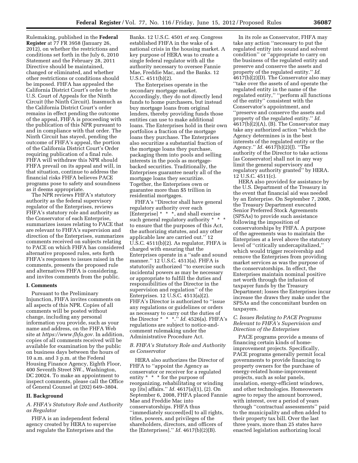Rulemaking, published in the **Federal Register** at 77 FR 3958 (January 26, 2012), on whether the restrictions and conditions set forth in the July 6, 2010 Statement and the February 28, 2011 Directive should be maintained, changed or eliminated, and whether other restrictions or conditions should be imposed. FHFA has appealed the California District Court's order to the U.S. Court of Appeals for the Ninth Circuit (the Ninth Circuit). Inasmuch as the California District Court's order remains in effect pending the outcome of the appeal, FHFA is proceeding with the publication of this NPR pursuant to and in compliance with that order. The Ninth Circuit has stayed, pending the outcome of FHFA's appeal, the portion of the California District Court's Order requiring publication of a final rule. FHFA will withdraw this NPR should FHFA prevail on its appeal and will, in that situation, continue to address the financial risks FHFA believes PACE programs pose to safety and soundness as it deems appropriate.

The NPR reviews FHFA's statutory authority as the federal supervisory regulator of the Enterprises, reviews FHFA's statutory role and authority as the Conservator of each Enterprise, summarizes issues relating to PACE that are relevant to FHFA's supervision and direction of the Enterprises, summarizes comments received on subjects relating to PACE on which FHFA has considered alternative proposed rules, sets forth FHFA's responses to issues raised in the comments, presents the proposed rule and alternatives FHFA is considering, and invites comments from the public.

#### **I. Comments**

Pursuant to the Preliminary Injunction, FHFA invites comments on all aspects of this NPR. Copies of all comments will be posted without change, including any personal information you provide, such as your name and address, on the FHFA Web site at *[https://www.fhfa.gov.](https://www.fhfa.gov)* In addition, copies of all comments received will be available for examination by the public on business days between the hours of 10 a.m. and 3 p.m. at the Federal Housing Finance Agency, Eighth Floor, 400 Seventh Street SW., Washington, DC 20024. To make an appointment to inspect comments, please call the Office of General Counsel at (202) 649–3804.

#### **II. Background**

# *A. FHFA's Statutory Role and Authority as Regulator*

FHFA is an independent federal agency created by HERA to supervise and regulate the Enterprises and the

Banks. 12 U.S.C. 4501 *et seq.* Congress established FHFA in the wake of a national crisis in the housing market. A key purpose of HERA was to create a single federal regulator with all the authority necessary to oversee Fannie Mae, Freddie Mac, and the Banks. 12 U.S.C. 4511(b)(2).

The Enterprises operate in the secondary mortgage market. Accordingly, they do not directly lend funds to home purchasers, but instead buy mortgage loans from original lenders, thereby providing funds those entities can use to make additional loans. The Enterprises hold in their own portfolios a fraction of the mortgage loans they purchase. The Enterprises also securitize a substantial fraction of the mortgage loans they purchase, packaging them into pools and selling interests in the pools as mortgagebacked securities. Traditionally, the Enterprises guarantee nearly all of the mortgage loans they securitize. Together, the Enterprises own or guarantee more than \$5 trillion in residential mortgages.

FHFA's ''Director shall have general regulatory authority over each [Enterprise] \* \* \*, and shall exercise such general regulatory authority \* \* \* to ensure that the purposes of this Act, the authorizing statutes, and any other applicable law are carried out.'' 12 U.S.C. 4511(b)(2). As regulator, FHFA is charged with ensuring that the Enterprises operate in a ''safe and sound manner.'' 12 U.S.C. 4513(a). FHFA is statutorily authorized ''to exercise such incidental powers as may be necessary or appropriate to fulfill the duties and responsibilities of the Director in the supervision and regulation'' of the Enterprises. 12 U.S.C. 4513(a)(2). FHFA's Director is authorized to ''issue any regulations or guidelines or orders as necessary to carry out the duties of the Director \* \* \*.'' *Id.* 4526(a). FHFA's regulations are subject to notice-andcomment rulemaking under the Administrative Procedure Act.

#### *B. FHFA's Statutory Role and Authority as Conservator*

HERA also authorizes the Director of FHFA to "appoint the Agency as conservator or receiver for a regulated entity \* \* \* for the purpose of reorganizing, rehabilitating or winding up [its] affairs.'' *Id.* 4617(a)(1), (2). On September 6, 2008, FHFA placed Fannie Mae and Freddie Mac into conservatorships. FHFA thus ''immediately succeed[ed] to all rights, titles, powers, and privileges of the shareholders, directors, and officers of the [Enterprises].'' *Id.* 4617(b)(2)(B).

In its role as Conservator, FHFA may take any action ''necessary to put the regulated entity into sound and solvent condition'' or ''appropriate to carry on the business of the regulated entity and preserve and conserve the assets and property of the regulated entity.'' *Id.*  4617(b)(2)(D). The Conservator also may ''take over the assets of and operate the regulated entity in the name of the regulated entity,'' ''perform all functions of the entity'' consistent with the Conservator's appointment, and ''preserve and conserve the assets and property of the regulated entity.'' *Id.*  4617(b)(2)(A), (B). The Conservator may take any authorized action ''which the Agency determines is in the best interests of the regulated entity or the Agency.'' *Id.* 4617(b)(2)(J). ''The authority of the Director to take actions [as Conservator] shall not in any way limit the general supervisory and regulatory authority granted'' by HERA. 12 U.S.C. 4511(c).

HERA also provided for assistance by the U.S. Department of the Treasury in the event that financial aid was needed by an Enterprise. On September 7, 2008, the Treasury Department executed Senior Preferred Stock Agreements (SPSAs) to provide such assistance following the imposition of conservatorships by FHFA. A purpose of the agreements was to maintain the Enterprises at a level above the statutory level of ''critically undercapitalized,'' which would trigger receivership and remove the Enterprises from providing market services as was the purpose of the conservatorships. In effect, the Enterprises maintain nominal positive net worth through the infusion of taxpayer funds by the Treasury Department; losses the Enterprises incur increase the draws they make under the SPSAs and the concomitant burden on taxpayers.

# *C. Issues Relating to PACE Programs Relevant to FHFA's Supervision and Direction of the Enterprises*

PACE programs provide a means of financing certain kinds of homeimprovement projects. Specifically, PACE programs generally permit local governments to provide financing to property owners for the purchase of energy-related home-improvement projects, such as solar panels, insulation, energy-efficient windows, and other technologies. Homeowners agree to repay the amount borrowed, with interest, over a period of years through ''contractual assessments'' paid to the municipality and often added to their property tax bill. Over the last three years, more than 25 states have enacted legislation authorizing local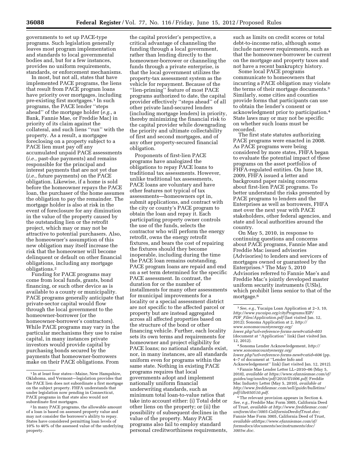governments to set up PACE-type programs. Such legislation generally leaves most program implementation and standards to local governmental bodies and, but for a few instances, provides no uniform requirements, standards, or enforcement mechanisms.

In most, but not all, states that have implemented PACE programs, the liens that result from PACE program loans have priority over mortgages, including pre-existing first mortgages.<sup>1</sup> In such programs, the PACE lender ''steps ahead'' of the mortgage holder (*e.g.,* a Bank, Fannie Mae, or Freddie Mac) in priority of its claim against the collateral, and such liens ''run'' with the property. As a result, a mortgagee foreclosing on a property subject to a PACE lien must pay off any accumulated unpaid PACE assessments (*i.e.,* past-due payments) and remains responsible for the principal and interest payments that are not yet due (*i.e.,* future payments) on the PACE obligation. Likewise, if a home is sold before the homeowner repays the PACE loan, the purchaser of the home assumes the obligation to pay the remainder. The mortgage holder is also at risk in the event of foreclosure for any diminution in the value of the property caused by the outstanding lien or the retrofit project, which may or may not be attractive to potential purchasers. Also, the homeowner's assumption of this new obligation may itself increase the risk that the homeowner will become delinquent or default on other financial obligations, including any mortgage obligations.2

Funding for PACE programs may come from local funds, grants, bond financing, or such other device as is available to a county or municipality. PACE programs generally anticipate that private-sector capital would flow through the local government to the homeowner-borrower (or the homeowner-borrower's contractors). While PACE programs may vary in the particular mechanisms they use to raise capital, in many instances private investors would provide capital by purchasing bonds secured by the payments that homeowner-borrowers make on their PACE obligations. From

the capital provider's perspective, a critical advantage of channeling the funding through a local government, rather than lending directly to the homeowner-borrower or channeling the funds through a private enterprise, is that the local government utilizes the property-tax assessment system as the vehicle for repayment. Because of the ''lien-priming'' feature of most PACE programs authorized to date, the capital provider effectively ''steps ahead'' of all other private land-secured lenders (including mortgage lenders) in priority, thereby minimizing the financial risk to the capital provider while downgrading the priority and ultimate collectability of first and second mortgages, and of any other property-secured financial obligation.

Proponents of first-lien PACE programs have analogized the obligations to repay PACE loans to traditional tax assessments. However, unlike traditional tax assessments, PACE loans are voluntary and have other features not typical of tax assessments—homeowners opt in, submit applications, and contract with the city or county's PACE program to obtain the loan and repay it. Each participating property owner controls the use of the funds, selects the contractor who will perform the energy retrofit, owns the energy retrofit fixtures, and bears the cost of repairing the fixtures should they become inoperable, including during the time the PACE loan remains outstanding. PACE program loans are repaid and end on a set term determined for the specific PACE assessment. In contrast, the duration for or the number of installments for many other assessments for municipal improvements for a locality or a special assessment district are not specific to the affected parcel or property but are instead aggregated across all affected properties based on the structure of the bond or other financing vehicle. Further, each locality sets its own terms and requirements for homeowner and project eligibility for PACE loans; no national standards exist, nor, in many instances, are all standards uniform even for programs within the same state. Nothing in existing PACE programs requires that local governments adopt and implement nationally uniform financial underwriting standards, such as minimum total loan-to-value ratios that take into account either: (i) Total debt or other liens on the property; or (ii) the possibility of subsequent declines in the value of the property. Many PACE programs also fail to employ standard personal creditworthiness requirements,

such as limits on credit scores or total debt-to-income ratio, although some include narrower requirements, such as that the homeowner-borrower be current on the mortgage and property taxes and not have a recent bankruptcy history.

Some local PACE programs communicate to homeowners that incurring a PACE obligation may violate the terms of their mortgage documents.3 Similarly, some cities and counties provide forms that participants can use to obtain the lender's consent or acknowledgment prior to participation.4 State laws may or may not be specific on whether such loans must be recorded.

The first state statutes authorizing PACE programs were enacted in 2008. As PACE programs were being considered by more states, FHFA began to evaluate the potential impact of these programs on the asset portfolios of FHFA-regulated entities. On June 18, 2009, FHFA issued a letter and background paper raising concerns about first-lien PACE programs. To better understand the risks presented by PACE programs to lenders and the Enterprises as well as borrowers, FHFA met over the next year with PACE stakeholders, other federal agencies, and state and local authorities around the country.

On May 5, 2010, in response to continuing questions and concerns about PACE programs, Fannie Mae and Freddie Mac issued advisories (Advisories) to lenders and servicers of mortgages owned or guaranteed by the Enterprises.5 The May 5, 2010 Advisories referred to Fannie Mae's and Freddie Mac's jointly developed master uniform security instruments (USIs), which prohibit liens senior to that of the mortgage.<sup>6</sup>

5Fannie Mae Lender Letter LL–2010–06 (May 5, 2010), *available at [https://www.efanniemae.com/sf/](https://www.efanniemae.com/sf/guides/ssg/annltrs/pdf/2010/ll1006.pdf)  [guides/ssg/annltrs/pdf/2010/ll1006.pdf;](https://www.efanniemae.com/sf/guides/ssg/annltrs/pdf/2010/ll1006.pdf)* Freddie Mac Industry Letter (May 5, 2010), *available at [http://www.freddiemac.com/sell/guide/bulletins/](http://www.freddiemac.com/sell/guide/bulletins/pdf/iltr050510.pdf) [pdf/iltr050510.pdf.](http://www.freddiemac.com/sell/guide/bulletins/pdf/iltr050510.pdf)* 

<sup>6</sup>The relevant provision appears in Section 4. *See, e.g.,* Freddie Mac Form 3005, California Deed of Trust, *available at [http://www.freddiemac.com/](http://www.freddiemac.com/uniform/doc/3005-CaliforniaDeedofTrust.doc)  [uniform/doc/3005-CaliforniaDeedofTrust.doc;](http://www.freddiemac.com/uniform/doc/3005-CaliforniaDeedofTrust.doc)*  Fannie Mae Form 3005, California Deed of Trust, *available athttps://www.efanniemae.com/sf/ formsdocs/documents/secinstruments/doc/ 3005w.doc.* 

<sup>&</sup>lt;sup>1</sup> In at least four states—Maine, New Hampshire, Oklahoma, and Vermont—legislation provides that the PACE lien does not subordinate a first mortgage on the subject property. FHFA understands that under legislation now pending in Connecticut, PACE programs in that state also would not subordinate first mortgages.

<sup>2</sup> In many PACE programs, the allowable amount of a loan is based on assessed property value and may not consider the borrower's ability to repay. States have considered permitting loan levels of 10% to 40% of the assessed value of the underlying property.

<sup>3</sup>*See, e.g.,* Yucaipa Loan Application at 2–3, 10, *[http://www.yucaipa.org/cityPrograms/EIP/](http://www.yucaipa.org/cityPrograms/EIP/PDF_Files/Application.pdf) PDF*\_*[Files/Application.pdf](http://www.yucaipa.org/cityPrograms/EIP/PDF_Files/Application.pdf)* (last visited Jan. 12, 2012); Sonoma Application at 2, *[http://](http://www.sonomacountyenergy.org/lower.php?url=reference-forms-new&catid=603) [www.sonomacountyenergy.org/](http://www.sonomacountyenergy.org/lower.php?url=reference-forms-new&catid=603)  [lower.php?url=reference-forms-new&catid=603](http://www.sonomacountyenergy.org/lower.php?url=reference-forms-new&catid=603)*  (document at ''Application'' link) (last visited Jan. 12, 2012).

<sup>4</sup>Sonoma Lender Acknowledgement, *[http://](http://www.sonomacountyenergy.org/lower.php?url=reference-forms-new&catid=606) [www.sonomacountyenergy.org/](http://www.sonomacountyenergy.org/lower.php?url=reference-forms-new&catid=606)  [lower.php?url=reference-forms-new&catid=606](http://www.sonomacountyenergy.org/lower.php?url=reference-forms-new&catid=606)* (pp. 4–7 of document at ''Lender Info and Acknowledgement'' link) (last visited Jan. 12, 2012).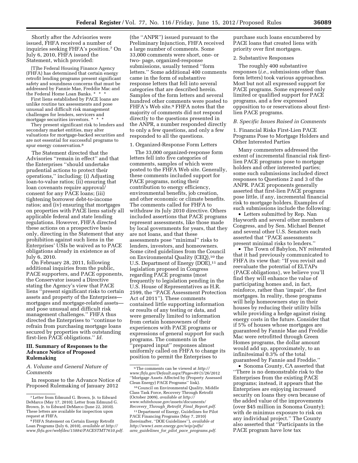Shortly after the Advisories were issued, FHFA received a number of inquiries seeking FHFA's position.7 On July 6, 2010, FHFA issued the Statement, which provided:

[T]he Federal Housing Finance Agency (FHFA) has determined that certain energy retrofit lending programs present significant safety and soundness concerns that must be addressed by Fannie Mae, Freddie Mac and the Federal Home Loan Banks. \* \* \*

First liens established by PACE loans are unlike routine tax assessments and pose unusual and difficult risk management challenges for lenders, servicers and mortgage securities investors. \* \* \*

They present significant risk to lenders and secondary market entities, may alter valuations for mortgage-backed securities and are not essential for successful programs to spur energy conservation.8

The Statement directed that the Advisories ''remain in effect'' and that the Enterprises ''should undertake prudential actions to protect their operations,'' including: (i) Adjusting loan-to-value ratios; (ii) ensuring that loan covenants require approval/ consent for any PACE loans; (iii) tightening borrower debt-to-income ratios; and (iv) ensuring that mortgages on properties with PACE liens satisfy all applicable federal and state lending regulations. However, FHFA directed these actions on a prospective basis only, directing in the Statement that any prohibition against such liens in the Enterprises' USIs be waived as to PACE obligations already in existence as of July 6, 2010.

On February 28, 2011, following additional inquiries from the public, PACE supporters, and PACE opponents, the Conservator issued a Directive stating the Agency's view that PACE liens ''present significant risks to certain assets and property of the Enterprises mortgages and mortgage-related assets and pose unusual and difficult risk management challenges.'' FHFA thus directed the Enterprises to ''continue to refrain from purchasing mortgage loans secured by properties with outstanding first-lien PACE obligations.'' *Id.* 

# **III. Summary of Responses to the Advance Notice of Proposed Rulemaking**

## *A. Volume and General Nature of Comments*

In response to the Advance Notice of Proposed Rulemaking of January 2012

(the ''ANPR'') issued pursuant to the Preliminary Injunction, FHFA received a large number of comments. Some 33,000 comments were short, one- or two- page, organized-response submissions, usually termed ''form letters.'' Some additional 400 comments came in the form of substantive response letters that fell into several categories that are described herein. Samples of the form letters and several hundred other comments were posted to FHFA's Web site.9 FHFA notes that the majority of comments did not respond directly to the questions presented in the ANPR, a number responded directly to only a few questions, and only a few responded to all the questions.

## 1. Organized-Response Form Letters

The 33,000 organized-response form letters fell into five categories of comments, samples of which were posted to the FHFA Web site. Generally, these comments included support for PACE programs, noting their contribution to energy efficiency, environmental benefits, job creation, and other economic or climate benefits. The comments called for FHFA to withdraw its July 2010 directive. Others included assertions that PACE programs represent assessments, like those made by local governments for years, that they are not loans, and that these assessments pose ''minimal'' risks to lenders, investors, and homeowners. Some cited guidelines from the Council on Environmental Quality (CEQ),<sup>10</sup> the U.S. Department of Energy (DOE),<sup>11</sup> and legislation proposed in Congress regarding PACE programs (most frequently to legislation pending in the U.S. House of Representatives as H.R. 2599, the ''PACE Assessment Protection Act of 2011''). These comments contained little supporting information or results of any testing or data, and were generally limited to information from certain homeowners of their experiences with PACE programs or expressions of general support for such programs. The comments in the 'prepared input'' responses almost uniformly called on FHFA to change its position to permit the Enterprises to

purchase such loans encumbered by PACE loans that created liens with priority over first mortgages.

# 2. Substantive Responses

The roughly 400 substantive responses (*i.e.,* submissions other than form letters) took various approaches. Most but not all expressed support for PACE programs. Some expressed only limited or qualified support for PACE programs, and a few expressed opposition to or reservations about firstlien PACE programs.

#### *B. Specific Issues Raised in Comments*

1. Financial Risks First-Lien PACE Programs Pose to Mortgage Holders and Other Interested Parties

Many commenters addressed the extent of incremental financial risk firstlien PACE programs pose to mortgage holders and other interested parties; some such submissions included direct responses to Questions 2 and 3 of the ANPR. PACE proponents generally asserted that first-lien PACE programs pose little, if any, incremental financial risk to mortgage holders. Examples of such submissions include the following:

• Letters submitted by Rep. Nan Hayworth and several other members of Congress, and by Sen. Michael Bennet and several other U.S. Senators each asserted that ''PACE assessments present minimal risks to lenders.''

• The Town of Babylon, NY reiterated that it had previously communicated to FHFA its view that: ''If you revisit and reevaluate the potential of ELTAPs {PACE obligations}, we believe you'll find they will enhance the value of participating homes and, in fact, reinforce, rather than 'impair', the first mortgages. In reality, these programs will help homeowners stay in their houses by reducing their utility bills while providing a hedge against rising energy costs in the future. Consider that if 5% of houses whose mortgages are guaranteed by Fannie Mae and Freddie Mac were retrofitted through Green Homes programs, the dollar amount would add up, approximately, to an infinitesimal 0.3% of the total guaranteed by Fannie and Freddie.''

• Sonoma County, CA asserted that ''There is no demonstrable risk to the Enterprises from the existing PACE programs; instead, it appears that the Enterprises are enjoying increased security on loans they own because of the added value of the improvements (over \$45 million in Sonoma County); with de minimus exposure to risk on any individual project.'' The County also asserted that ''Participants in the PACE program have low tax

<sup>7</sup>Letter from Edmund G. Brown, Jr. to Edward DeMarco (May 17, 2010); Letter from Edmund G. Brown, Jr. to Edward DeMarco (June 22, 2010). These letters are available for inspection upon request at FHFA.

<sup>8</sup>FHFA Statement on Certain Energy Retrofit Loan Programs (July 6, 2010), *available at [http://](http://www.fhfa.gov/webfiles/15884/PACESTMT7610.pdf) [www.fhfa.gov/webfiles/15884/PACESTMT7610.pdf.](http://www.fhfa.gov/webfiles/15884/PACESTMT7610.pdf)* 

<sup>9</sup>The comments can be viewed at *[http://](http://www.fhfa.gov/Default.aspx?Page=89)  [www.fhfa.gov/Default.aspx?Page=89](http://www.fhfa.gov/Default.aspx?Page=89)* (1/26/2012 ''Mortgage Assets Affected by (Property Assessed Clean Energy) PACE Programs'' link).

<sup>10</sup>Council on Environmental Quality, Middle Class Task Force, Recovery Through Retrofit (October 2009), *available at [http://](http://www.whitehouse.gov/assets/documents/Recovery_Through_Retrofit_Final_Report.pdf) [www.whitehouse.gov/assets/documents/](http://www.whitehouse.gov/assets/documents/Recovery_Through_Retrofit_Final_Report.pdf) Recovery*\_*Through*\_*Retrofit*\_*Final*\_*[Report.pdf.](http://www.whitehouse.gov/assets/documents/Recovery_Through_Retrofit_Final_Report.pdf)* 

<sup>11</sup> Department of Energy, Guidelines for Pilot PACE Financing Programs (May 7, 2010) (hereinafter, ''DOE Guidelines''), *available at [http://www1.eere.energy.gov/wip/pdfs/](http://www1.eere.energy.gov/wip/pdfs/arra_guidelines_for_pilot_pace_programs.pdf)  arra*\_*guidelines*\_*for*\_*pilot*\_*pace*\_*[programs.pdf.](http://www1.eere.energy.gov/wip/pdfs/arra_guidelines_for_pilot_pace_programs.pdf)*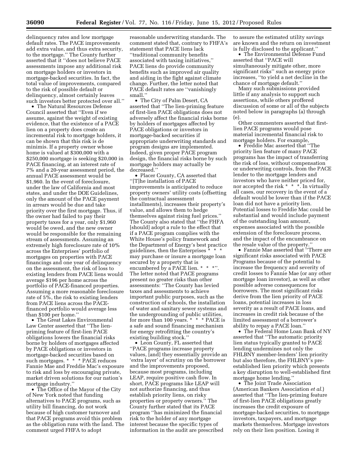delinquency rates and low mortgage default rates. The PACE improvements add extra value, and thus extra security, to the mortgage.'' The County further asserted that it ''does not believe PACE assessments impose any additional risk on mortgage holders or investors in mortgage-backed securities. In fact, the total value of improvements, compared to the risk of possible default or delinquency, almost certainly leaves such investors better protected over all.''

• The Natural Resources Defense Council asserted that ''Even if we assume, against the weight of existing evidence, that the existence of a PACE lien on a property does create an incremental risk to mortgage holders, it can be shown that this risk is de minimis. If a property owner whose home is valued at \$300,000 with a \$250,000 mortgage is seeking \$20,000 in PACE financing, at an interest rate of 7% and a 20-year assessment period, the annual PACE assessment would be \$1,960. In the event of foreclosure, under the law of California and most states, and under the DOE Guidelines, only the amount of the PACE payment in arrears would be due and take priority over the first mortgage. Thus, if the owner had failed to pay their property taxes for a year, only \$1,960 would be owed, and the new owner would be responsible for the remaining stream of assessments. Assuming an extremely high foreclosure rate of 10% across the Enterprises' portfolio of mortgages on properties with PACE financings and one year of delinquency on the assessment, the risk of loss to existing lenders from PACE liens would average \$196 per home across the portfolio of PACE-financed properties. Assuming a more reasonable foreclosure rate of 5%, the risk to existing lenders from PACE liens across the PACEfinanced portfolio would average less than \$100 per home.''

• The Great Lakes Environmental Law Center asserted that ''The lienpriming feature of first-lien PACE obligations lowers the financial risks borne by holders of mortgages affected by PACE obligations or investors in mortgage-backed securities based on such mortgages. \* \* \* PACE reduces Fannie Mae and Freddie Mac's exposure to risk and loss by encouraging private, market driven solutions for our nation's mortgage industry.''

• The Office of the Mayor of the City of New York noted that funding alternatives to PACE programs, such as utility bill financing, do not work because of high customer turnover and that PACE programs avoid this problem as the obligation runs with the land. The comment urged FHFA to adopt

reasonable underwriting standards. The comment stated that, contrary to FHFA's statement that PACE liens lack ''traditional community benefits associated with taxing initiatives,'' PACE liens do provide community benefits such as improved air quality and aiding in the fight against climate change. Further, the letter noted that PACE default rates are ''vanishingly small<sup>"</sup>

• The City of Palm Desert, CA asserted that ''The lien-priming feature of first-lien PACE obligations does not adversely affect the financial risks borne by holders of mortgages affected by PACE obligations or investors in mortgage-backed securities if appropriate underwriting standards and program designs are implemented. Indeed, given proper PACE program design, the financial risks borne by such mortgage holders may actually be decreased.''

• Placer County, CA asserted that ''[T]he installation of PACE improvements is anticipated to reduce property owners' utility costs (offsetting the contractual assessment installments), increases their property's value, and allows them to hedge themselves against rising fuel prices.'' The County also stated that ''the FHFA [should] adopt a rule to the effect that if a PACE program complies with the White House's policy framework and the Department of Energy's best practice guidelines, then the Enterprises \* \* \* may purchase or insure a mortgage loan secured by a property that is encumbered by a PACE lien. \* \* \*". The letter noted that PACE programs present no greater risks than other assessments: ''The County has levied taxes and assessments to achieve important public purposes, such as the construction of schools, the installation of water and sanitary sewer systems and the undergrounding of public utilities, for more than 100 years. \* \* \* PACE is a safe and sound financing mechanism for energy retrofitting the country's existing building stock.''

• Leon County, FL asserted that ''PACE programs increase property values, [and] they essentially provide an 'extra layer' of scrutiny on the borrower and the improvements proposed, because most programs, including LEAP, require positive cash flow. In short, PACE programs like LEAP will not authorize financing, and thus establish priority liens, on risky properties or property owners.'' The County further stated that its PACE program ''has minimized the financial risk to the holder of any mortgage interest because the specific types of information in the audit are prescribed

to assure the estimated utility savings are known and the return on investment is fully disclosed to the applicant.''

• The Environmental Defense Fund asserted that ''PACE will simultaneously mitigate other, more significant risks'' such as energy price increases, ''to yield a net decline in the chance of mortgage default.''

Many such submissions provided little if any analysis to support such assertions, while others proffered discussion of some or all of the subjects noted below in paragraphs (a) through (e).

Other commenters asserted that firstlien PACE programs would pose material incremental financial risk to mortgage holders. For example,

• Freddie Mac asserted that ''The priority lien feature of many PACE programs has the impact of transferring the risk of loss, without compensation or underwriting controls, from the PACE lender to the mortgage lenders and investors who have neither priced for, nor accepted the risk \* \* \*. In virtually all cases, our recovery in the event of a default would be lower than if the PACE loan did not have a priority lien. Potential losses to Freddie Mac could be substantial and would include payment of the outstanding loan amount, expenses associated with the possible extension of the foreclosure process, and the impact of the encumbrance on the resale value of the property.''

• Fannie Mae asserted that ''There are significant risks associated with PACE Programs because of the potential to increase the frequency and severity of credit losses to Fannie Mae (or any other mortgage loan investor), as well as other possible adverse consequences for borrowers. The most significant risks derive from the lien priority of PACE loans, potential increases in loss severity as a result of PACE loans, and increases in credit risk because of the limited assessment of a borrower's ability to repay a PACE loan.''

• The Federal Home Loan Bank of NY asserted that ''The automatic priority lien status typically granted to PACE lending undermines not only the FHLBNY member-lenders' lien priority but also therefore, the FHLBNY's preestablished lien priority which presents a key disruption to well-established first mortgage home lending.''

• The Joint Trade Association (American Bankers Association *et al.*) asserted that ''The lien-priming feature of first-lien PACE obligations greatly increases the credit exposure of mortgage-backed securities, to mortgage investors, taxpayers, and mortgage markets themselves. Mortgage investors rely on their lien position. Losing it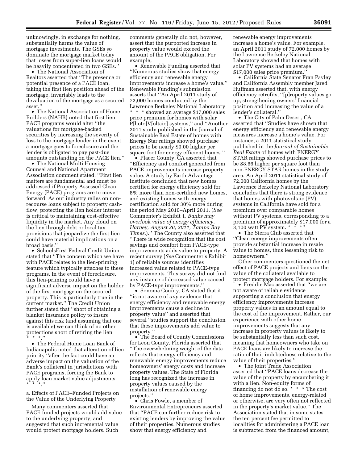unknowingly, in exchange for nothing, substantially harms the value of mortgage investments. The GSEs so dominate the mortgage market today that losses from super-lien loans would be heavily concentrated in two GSEs.''

• The National Association of Realtors asserted that ''The presence or potential presence of a PACE loan, taking the first lien position ahead of the mortgage, invariably leads to the devaluation of the mortgage as a secured asset.''

• The National Association of Home Builders (NAHB) noted that first lien PACE programs would alter ''the valuations for mortgage-backed securities by increasing the severity of loss to the mortgage lender in the event a mortgage goes to foreclosure and the lender is obligated to pay past-due amounts outstanding on the PACE lien.''

• The National Multi Housing Counsel and National Apartment Association comment stated, ''First lien matters are fundamental and must be addressed if Property Assessed Clean Energy (PACE) programs are to move forward. As our industry relies on nonrecourse loans subject to property cashflow, protecting the lien holder interest is critical to maintaining cost-effective liquidity in the market. Any cloud on the lien through debt or local tax provisions that jeopardize the first lien could have material implications on a broad basis.''

• SchoolsFirst Federal Credit Union stated that ''The concern which we have with PACE relates to the lien-priming feature which typically attaches to these programs. In the event of foreclosure, this lien-priming could have a significant adverse impact on the holder of the first mortgage on the secured property. This is particularly true in the current market.'' The Credit Union further stated that ''short of obtaining a blanket insurance policy to insure against this risk (and assuming that one is available) we can think of no other protections short of retiring the lien  $*$  \* ''

• The Federal Home Loan Bank of Indianapolis noted that alteration of lien priority ''after the fact could have an adverse impact on the valuation of the Bank's collateral in jurisdictions with PACE programs, forcing the Bank to apply loan market value adjustments \* \* \*.''

a. Effects of PACE–Funded Projects on the Value of the Underlying Property

Many commenters asserted that PACE-funded projects would add value to the underlying property, and suggested that such incremental value would protect mortgage holders. Such

comments generally did not, however, assert that the purported increase in property value would exceed the amount of the PACE obligation. For example,

• Renewable Funding asserted that ''Numerous studies show that energy efficiency and renewable energy improvements increase a home's value.'' Renewable Funding's submission asserts that ''An April 2011 study of 72,000 homes conducted by the Lawrence Berkeley National Laboratory \* \* \* showed an average \$17,000 sales price premium for homes with solar P[hoto]V[oltaic] systems,'' and ''Another 2011 study published in the Journal of Sustainable Real Estate of homes with Energy Star ratings showed purchase prices to be nearly \$9.00 higher per square foot for energy efficient homes.''

• Placer County, CA asserted that ''Efficiency and comfort generated from PACE improvements increase property value. A study by Earth Advantage Institute concluded that new homes certified for energy efficiency sold for 8% more than non-certified new homes, and existing homes with energy certification sold for 30% more during the period May 2010–April 2011. (*See*  Commenter's Exhibit 1, *Banks may overlook value of energy efficiency, Harney, August 26, 2011, Tampa Bay Times.*).'' The County also asserted that ''There is wide recognition that the cost savings and comfort from PACE-type improvements adds value to property. A recent survey (*See* Commenter's Exhibit 1) of reliable sources identifies increased value related to PACE-type improvements. This survey did not find any instance of decreased value caused by PACE-type improvements.''

• Sonoma County, CA stated that it ''is not aware of *any* evidence that energy efficiency and renewable energy improvements cause a decline in property value'' and asserted that several ''studies support the conclusion that these improvements add value to property.''

• The Board of County Commissions for Leon County, Florida asserted that ''The overwhelming weight of the data reflects that energy efficiency and renewable energy improvements reduce homeowners' energy costs and increase property values. The State of Florida long has recognized the increase in property values caused by the installation of renewable energy projects.''

• Chris Fowle, a member of Environmental Entrepreneurs asserted that ''PACE can further reduce risk to existing lenders by improving the value of their properties. Numerous studies show that energy efficiency and

renewable energy improvements increase a home's value. For example, an April 2011 study of 72,000 homes by the Lawrence Berkeley National Laboratory showed that homes with solar PV systems had an average \$17,000 sales price premium.''

• California State Senator Fran Pavley and California Assembly member Jared Huffman asserted that, with energy efficiency retrofits, ''[p]roperty values go up, strengthening owners' financial position and increasing the value of a lender's collateral.''

• The City of Palm Desert, CA asserted that ''Studies have shown that energy efficiency and renewable energy measures increase a home's value. For instance, a 2011 statistical study published in the *Journal of Sustainable Real Estate* of homes with ENERGY STAR ratings showed purchase prices to be \$8.66 higher per square foot than non-ENERGY STAR homes in the study area. An April 2011 statistical study of 72,000 California homes by the Lawrence Berkeley National Laboratory concludes that there is strong evidence that homes with photovoltaic (PV) systems in California have sold for a premium over comparable homes without PV systems, corresponding to a premium of approximately \$17,000 for a 3,100 watt PV system.  $*$   $*$   $*$ "

• The Sierra Club asserted that ''Clean energy improvements often provide substantial increase in resale value to homes, thus lessening risk to homeowners.''

Other commenters questioned the net effect of PACE projects and liens on the value of the collateral available to protect mortgage holders. For example:

• Freddie Mac asserted that ''we are not aware of reliable evidence supporting a conclusion that energy efficiency improvements increase property values in an amount equal to the cost of the improvement. Rather, our experience with other home improvements suggests that any increase in property values is likely to be substantially less than such cost, meaning that homeowners who take on PACE loans are likely to increase the ratio of their indebtedness relative to the value of their properties.''

• The Joint Trade Association asserted that ''PACE loans decrease the value of the property by encumbering it with a lien. Non-equity forms of financing do not do so. \* \* \* The cost of home improvements, energy-related or otherwise, are very often not reflected in the property's market value.'' The Association stated that in some states the ten percent fee permitted to localities for administering a PACE loan is subtracted from the financed amount,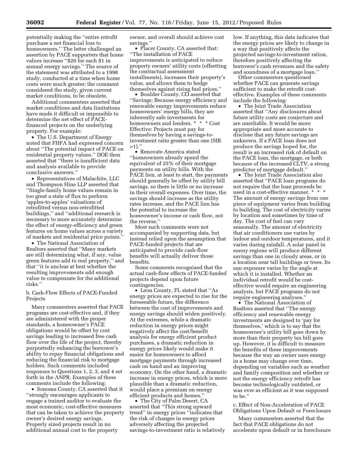potentially making the ''entire retrofit purchase a net financial loss to homeowners.'' The letter challenged an assertion by PACE supporters that home values increase ''\$20 for each \$1 in annual energy savings.'' The source of the statement was attributed to a 1998 study, conducted at a time when home costs were much greater; the comment considered the study, given current market conditions, to be obsolete.

Additional commenters asserted that market conditions and data limitations have made it difficult or impossible to determine the net effect of PACEfinanced projects on the underlying property. For example:

• The U.S. Department of Energy noted that FHFA had expressed concern about ''The potential impact of PACE on residential property values.'' DOE then asserted that ''there is insufficient data and analysis available to provide conclusive answers.''

• Representatives of Malachite, LLC and Thompson Hine LLP asserted that ''Single-family home values remain in too great a state of flux to perform 'apples-to-apples' valuations of retrofitted versus non-retrofitted buildings,'' and ''additional research is necessary to more accurately determine the effect of energy-efficiency and green features on home values across a variety of markets and residential price points.''

• The National Association of Realtors asserted that ''Many markets are still determining what, if any, value green features add to real property,'' and that ''it is unclear at best whether the resulting improvements add enough value to compensate for the additional risks.''

b. Cash-Flow Effects of PACE-Funded Projects

Many commenters asserted that PACE programs are cost-effective and, if they are administered with the proper standards, a homeowner's PACE obligations would be offset by cost savings leading to increased free cash flow over the life of the project, thereby purportedly enhancing the borrower's ability to repay financial obligations and reducing the financial risk to mortgage holders. Such comments included responses to Questions 1, 2, 3, and 4 set forth in the ANPR. Examples of these comments include the following:

• Sonoma County, CA asserted that it ''strongly encourages applicants to engage a trained auditor to evaluate the most economic, cost-effective measures that can be taken to achieve the property owner's desired energy savings. Properly sized projects result in no additional annual cost to the property

owner, and overall should achieve cost savings.''

• Placer County, CA asserted that: ''The installation of PACE improvements is anticipated to reduce property owners' utility costs (offsetting the contractual assessment installments), increases their property's value, and allows them to hedge themselves against rising fuel prices.''

• Boulder County, CO asserted that ''Savings: Because energy efficiency and renewable energy improvements reduce homeowners' energy bills, they are inherently safe investments for homeowners and lenders. \* \* \* Cost Effective: Projects must pay for themselves by having a savings-toinvestment ratio greater than one (SIR >1).''

• Renovate America stated ''homeowners already spend the equivalent of 25% of their mortgage payments on utility bills. With the PACE lien, at least to start, the payments should generally be offset by utility bill savings, so there is little or no increase in their overall expenses. Over time, the savings should increase as the utility rates increase, and the PACE lien has the potential to increase the homeowner's income or cash flow, not the reverse.''

Most such comments were not accompanied by supporting data, but instead relied upon the assumption that PACE-funded projects that are anticipated to provide cash-flow benefits will actually deliver those benefits.

Some comments recognized that the actual cash-flow effects of PACE-funded projects depend upon future contingencies.

• Leon County, FL stated that ''As energy prices are expected to rise for the foreseeable future, the difference between the cost of improvements and energy savings should widen positively. At the extremes, while a dramatic reduction in energy prices might negatively affect the cost/benefit analysis for energy efficient product purchases, a dramatic reduction in energy prices likely would make it easier for homeowners to afford mortgage payments through increased cash on hand and an improving economy. On the other hand, a dramatic increase in energy prices, which is more plausible than a dramatic reduction, would place a premium on energy efficient products and homes.''

• The City of Palm Desert, CA asserted that ''This strong upward trend'' in energy prices ''indicates that the risk of changes in energy prices adversely affecting the projected savings-to-investment ratio is relatively low. If anything, this data indicates that the energy prices are likely to change in a way that positively affects the projected savings-to-investment ration, therefore positively affecting the borrower's cash revenues and the safety and soundness of a mortgage loan.''

Other commenters questioned whether PACE can generate savings sufficient to make the retrofit costeffective. Examples of these comments include the following:

• The Joint Trade Association asserted that ''Any disclosures about future utility costs are conjecture and are unreliable. It would be more appropriate and more accurate to disclose that any future savings are unknown. If a PACE loan does not produce the savings hoped for, the result is an increased risk of default on the PACE loan, the mortgage, or both because of the increased CLTV, a strong predictor of mortgage default.''

• The Joint Trade Association also asserted that ''PACE loan programs do not require that the loan proceeds be used in a cost-effective manner. \* \* \* The amount of energy savings from one piece of equipment varies from building to building. The cost of electricity varies by location and sometimes by time of day. The cost of fuel can vary seasonally. The amount of electricity that air conditioners use varies by indoor and outdoor temperatures, and it varies during rainfall. A solar panel in sunny regions will produce different savings than one in cloudy areas, or in a location near tall buildings or trees. Its sun exposure varies by the angle at which it is installed. Whether an individual retrofit would be costeffective would require an engineering analysis, but PACE programs do not require engineering analyses.''

• The National Association of Realtors asserted that ''The energy efficiency and renewable energy investments are designed to 'pay for themselves,' which is to say that the homeowner's utility bill goes down by more than their property tax bill goes up. However, it is difficult to measure the benefits of these improvements because the way an owner uses energy in a home may change over time, depending on variables such as weather and family composition and whether or not the energy efficiency retrofit has become technologically outdated, or was ever as efficient as it was supposed to be.''

c. Effect of Non-Acceleration of PACE Obligations Upon Default or Foreclosure

Many commenters asserted that the fact that PACE obligations do not accelerate upon default or in foreclosure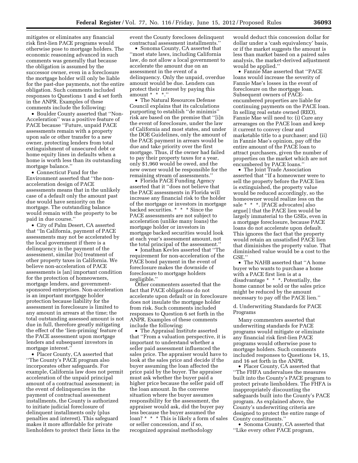mitigates or eliminates any financial risk first-lien PACE programs would otherwise pose to mortgage holders. The economic reasoning advanced in such comments was generally that because the obligation is assumed by the successor owner, even in a foreclosure the mortgage holder will only be liable for the past-due payments, not the entire obligation. Such comments included responses to Questions 1 and 4 set forth in the ANPR. Examples of these comments include the following:

• Boulder County asserted that ''Non-Acceleration'' was a positive feature of PACE because ''Future, unpaid PACE assessments remain with a property upon sale or other transfer to a new owner, protecting lenders from total extinguishment of unsecured debt or home equity lines in defaults when a home is worth less than its outstanding mortgage balance.''

• Connecticut Fund for the Environment asserted that ''the nonacceleration design of PACE assessments means that in the unlikely case of a default only the amount past due would have seniority on the mortgage. The outstanding balance would remain with the property to be paid in due course.''

• City of Palm Desert, CA asserted that ''In California, payment of PACE assessments may not be accelerated by the local government if there is a delinquency in the payment of the assessment, similar [to] treatment of other property taxes in California. We believe non-acceleration of PACE assessments is [an] important condition for the protection of homeowners, mortgage lenders, and governmentsponsored enterprises. Non-acceleration is an important mortgage holder protection because liability for the assessment in foreclosure is limited to any amount in arrears at the time; the total outstanding assessed amount is not due in full, therefore greatly mitigating the effect of the 'lien-priming' feature of the PACE assessment upon mortgage lenders and subsequent investors in mortgage interest.''

• Placer County, CA asserted that ''The County's PACE program also incorporates other safeguards. For example, California law does not permit acceleration of the unpaid principal amount of a contractual assessment; in the event of delinquencies in the payment of contractual assessment installments, the County is authorized to initiate judicial foreclosure of delinquent installments only (plus penalties and interest). This safeguard makes it more affordable for private lienholders to protect their liens in the

event the County forecloses delinquent contractual assessment installments.''

• Sonoma County, CA asserted that ''most state laws, including California law, do not allow a local government to accelerate the amount due on an assessment in the event of a delinquency. Only the unpaid, overdue amount would be due. Lenders can protect their interest by paying this amount \* \* \*.''

• The Natural Resources Defense Council explains that its calculations purporting to establish ''de minimis'' risk are based on the premise that ''[i]n the event of foreclosure, under the law of California and most states, and under the DOE Guidelines, only the amount of the PACE payment in arrears would be due and take priority over the first mortgage. Thus, if the owner had failed to pay their property taxes for a year, only \$1,960 would be owed, and the new owner would be responsible for the remaining stream of assessments.''

• Florida PACE Funding Agency asserted that it ''does not believe that the PACE assessments in Florida will increase any financial risk to the holder of the mortgage or investors in mortgage backed securities. \* \* \* Since the PACE assessments are not subject to acceleration (unlike many loans) the mortgage holder or investors in mortgage backed securities would look at each year's assessment amount, not the total principal of the assessment.''

• Jonathan Kevles asserted that ''The requirement for non-acceleration of the PACE bond payment in the event of foreclosure makes the downside of foreclosure to mortgage holders negligible.''

Other commenters asserted that the fact that PACE obligations do not accelerate upon default or in foreclosure does not insulate the mortgage holder from risk. Such comments included responses to Question 6 set forth in the ANPR. Examples of these comments include the following:

• The Appraisal Institute asserted that ''From a valuation perspective, it is important to understand whether a seller paid assessment influenced the sales price. The appraiser would have to look at the sales price and decide if the buyer assuming the loan affected the price paid by the buyer. The appraiser must ask whether the buyer paid a higher price because the seller paid off the loan amount. In the converse situation where the buyer assumes responsibility for the assessment, the appraiser would ask, did the buyer pay less because the buyer assumed the loan? \* \* \* This is likely a form of sales or seller concession, and if so, recognized appraisal methodology

would deduct this concession dollar for dollar under a 'cash equivalency' basis, or if the market suggests the amount is less than market based on a paired sales analysis, the market-derived adjustment would be applied.''

• Fannie Mae asserted that ''PACE loans would increase the severity of Fannie Mae's losses in the event of foreclosure on the mortgage loan. Subsequent owners of PACEencumbered properties are liable for continuing payments on the PACE loan. In selling real estate owned (REO), Fannie Mae will need to: (i) Cure any arrearages on the PACE loan and keep it current to convey clear and marketable title to a purchaser; and (ii) in Fannie Mae's opinion, pay off the entire amount of the PACE loan to attract purchasers, given the number of properties on the market which are not encumbered by PACE loans.''

• The Joint Trade Association asserted that ''If a homeowner were to sell the property before the PACE lien is extinguished, the property value would be reduced accordingly, so the homeowner would realize less on the sale \* \* \*. [PACE advocates] also argue[ ] that the PACE lien would be largely immaterial to the GSEs, even in a mortgage foreclosure, because PACE loans do not accelerate upon default. This ignores the fact that the property would retain an unsatisfied PACE lien that diminishes the property value. That diminished value would be a cost to the GSE.''

• The NAHB asserted that ''A home buyer who wants to purchase a home with a PACE first lien is at a disadvantage \* \* \*. Potentially, the home cannot be sold or the sales price might be reduced by the amount necessary to pay off the PACE lien.''

d. Underwriting Standards for PACE Programs

Many commenters asserted that underwriting standards for PACE programs would mitigate or eliminate any financial risk first-lien PACE programs would otherwise pose to mortgage holders. Such comments included responses to Questions 14, 15, and 16 set forth in the ANPR.

• Placer County, CA asserted that ''The FHFA undervalues the measures built into the County's PACE program to protect private lienholders. The FHFA is inappropriately discounting the safeguards built into the County's PACE program. As explained above, the County's underwriting criteria are designed to protect the entire range of County constituents.''

• Sonoma County, CA asserted that ''Like every other PACE program,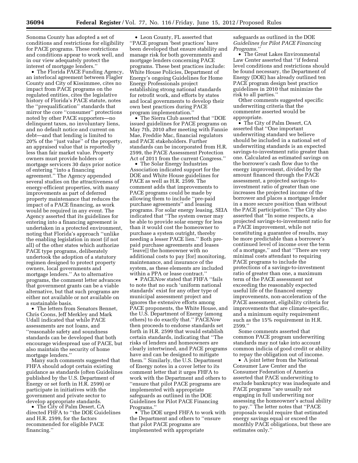Sonoma County has adopted a set of conditions and restrictions for eligibility for PACE programs. These restrictions and conditions appear to work well, and in our view adequately protect the interest of mortgage lenders.''

• The Florida PACE Funding Agency, an interlocal agreement between Flagler County and City of Kissimmee, cites no impact from PACE programs on the regulated entities, cites the legislative history of Florida's PACE statute, notes the ''prequalification'' standards that mirror the core ''consumer'' protections noted by other PACE supporters—no delinquent taxes, no involuntary liens, and no default notice and current on debt—and that lending is limited to 20% of the ''just value'' of the property, an appraised value that is reportedly less than fair market value. Property owners must provide holders or mortgage servicers 30 days prior notice of entering ''into a financing agreement.'' The Agency appended several studies on the attractiveness of energy-efficient properties, with many improvements as part of deferred property maintenance that reduces the impact of a PACE financing, as work would be required in any event. The Agency asserted that its guidelines for entering into a financing agreement is undertaken in a protected environment, noting that Florida's approach ''unlike the enabling legislation in most (if not all) of the other states which authorize PACE type programs, deliberately undertook the adoption of a statutory regimen designed to protect property owners, local governments and mortgage lenders.'' As to alternative programs, the comment letter advances that government grants can be a viable alternative, but that such programs are either not available or not available on a sustainable basis.

• The letters from Senators Bennet, Chris Coons, Jeff Merkley and Mark Udall indicated that while PACE assessments are not loans, and ''reasonable safety and soundness standards can be developed that both encourage widespread use of PACE, but also maintain the security of home mortgage lenders.''

Many such comments suggested that FHFA should adopt certain existing guidance as standards (often Guidelines published by the U.S. Department of Energy or set forth in H.R. 2599) or participate in initiatives with the government and private sector to develop appropriate standards.

• The City of Palm Desert, CA directed FHFA to ''the DOE Guidelines and H.R. 2599, for the factors recommended for eligible PACE financing.''

• Leon County, FL asserted that ''PACE program 'best practices' have been developed that ensure stability and manage risk for both governments and mortgage lenders concerning PACE programs. These best practices include: White House Policies, Department of Energy's ongoing Guidelines for Home Energy Professionals project establishing strong national standards for retrofit work, and efforts by states and local governments to develop their own best practices during PACE program implementation.''

• The Sierra Club asserted that ''DOE issued guidelines for PACE programs on May 7th, 2010 after meeting with Fannie Mae, Freddie Mac, financial regulators and PACE stakeholders. Further standards can be incorporated from H.R. 2599, the PACE Assessment Protection Act of 2011 from the current Congress.''

• The Solar Energy Industries Association indicated support for the DOE and White House guidelines for PACE as well as H.R. 2599. The comment adds that improvements to PACE programs could be made by allowing them to include ''pre-paid purchase agreements'' and leasing programs. For solar energy leasing, SEIA indicated that ''The system owner may be able to provide solar energy for less than it would cost the homeowner to purchase a system outright, thereby needing a lesser PACE lien.'' Both prepaid purchase agreements and leases ''leave[] the homeowner with no additional costs to pay [for] monitoring, maintenance, and insurance of the system, as these elements are included within a PPA or lease contract.''

• PACE*Now* stated that FHFA ''fails to note that no such 'uniform national standards' exist for any other type of municipal assessment project and ignores the extensive efforts among PACE proponents, the White House, and the U.S. Department of Energy (among others) to do exactly that.'' PACE*Now*  then proceeds to endorse standards set forth in H.R. 2599 that would establish certain standards, indicating that ''The risks of lenders and homeowners are clearly intertwined, and PACE programs have and can be designed to mitigate them.'' Similarly, the U.S. Department of Energy notes in a cover letter to its comment letter that it urges FHFA to work with the Department and others to ''ensure that pilot PACE programs are implemented with appropriate safeguards as outlined in the DOE Guidelines for Pilot PACE Financing Programs.''

• The DOE urged FHFA to work with the Department and others to ''ensure that pilot PACE programs are implemented with appropriate

safeguards as outlined in the DOE *Guidelines for Pilot PACE Financing Programs.''* 

• The Great Lakes Environmental Law Center asserted that ''if federal level conditions and restrictions should be found necessary, the Department of Energy (DOE) has already outlined ten PACE program design best practice guidelines in 2010 that minimize the risk to all parties.''

Other comments suggested specific underwriting criteria that the commenter asserted would be appropriate.

• The City of Palm Desert, CA asserted that ''One important underwriting standard we believe should be included in a national set of underwriting standards is an expected savings-to-investment ratio greater than one. Calculated as estimated savings on the borrower's cash flow due to the energy improvement, divided by the amount financed through the PACE assessment, a projected savings-toinvestment ratio of greater than one increases the projected income of the borrower and places a mortgage lender in a more secure position than without the PACE participation.'' The City also asserted that ''In some respects, a projected savings-to-investment ratio for a PACE improvement, while not constituting a guarantee of results, may be more predictable than a borrower's continued level of income over the term of a mortgage,'' and that ''There are very minimal costs attendant to requiring PACE programs to include the protections of a savings-to-investment ratio of greater than one, a maximum term of the PACE assessment not exceeding the reasonably expected useful life of the financed energy improvements, non-acceleration of the PACE assessment, eligibility criteria for improvements that are climate-specific, and a minimum equity requirement such as the 15% requirement in H.R. 2599.''

Some comments asserted that common PACE program underwriting standards may not take into account common indicia of good credit or ability to repay the obligation out of income.

• A joint letter from the National Consumer Law Center and the Consumer Federation of America asserted that PACE underwriting to exclude bankruptcy was inadequate and PACE programs ''are usually not engaging in full underwriting nor assessing the homeowner's actual ability to pay.'' The letter notes that ''PACE proposals would require that estimated energy savings equal or exceed the monthly PACE obligations, but these are estimates only.''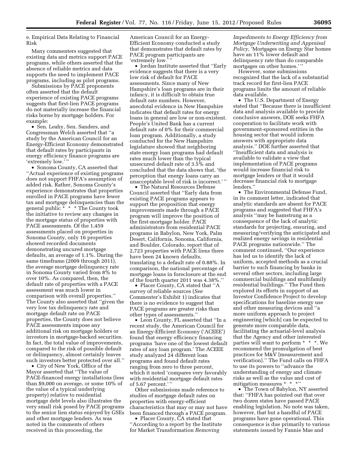e. Empirical Data Relating to Financial Risk

Many commenters suggested that existing data and metrics support PACE programs, while others asserted that the absence of reliable metrics and data supports the need to implement PACE programs, including as pilot programs.

Submissions by PACE proponents often asserted that the default experience of existing PACE programs suggests that first-lien PACE programs do not materially increase the financial risks borne by mortgage holders. For example:

• Sen. Leahy, Sen. Sanders, and Congressman Welch asserted that ''a study by the American Council for an Energy-Efficient Economy demonstrated that default rates by participants in energy efficiency finance programs are 'extremely low.' ''

• Sonoma County, CA asserted that ''Actual experience of existing programs does not support FHFA's assumption of added risk. Rather, Sonoma County's experience demonstrates that properties enrolled in PACE programs have fewer tax and mortgage delinquencies than the general public \* \* \* The County took the initiative to review any changes in the mortgage status of properties with PACE assessments. Of the 1,459 assessments placed on properties in Sonoma County, only 16 properties showed recorded documents demonstrating uncured mortgage defaults, an average of 1.1%. During the same timeframe (2009 through 2011), the average mortgage delinquency rate in Sonoma County varied from 8% to over 10%. As compared, then, the default rate of properties with a PACE assessment was much lower in comparison with overall properties.'' The County also asserted that ''given the very low tax delinquency rate and mortgage default rate on PACE properties, the County does not believe PACE assessments impose any additional risk on mortgage holders or investors in mortgage-backed securities. In fact, the total value of improvements, compared to the risk of possible default or delinquency, almost certainly leaves such investors better protected over all.''

• City of New York, Office of the Mayor asserted that ''The value of PACE-financed energy installations (less than \$9,000 on average, or some 10% of the value of a typical underlying property) relative to residential mortgage debt levels also illustrates the very small risk posed by PACE programs to the senior lien status enjoyed by GSEs and other mortgage lenders. As was noted in the comments of others received in this proceeding, the

American Council for an Energy-Efficient Economy conducted a study that demonstrates that default rates by PACE program participants are 'extremely low.' ''

• Jordan Institute asserted that ''Early evidence suggests that there is a very low risk of default for PACE assessments. Since many of New Hampshire's loan programs are in their infancy, it is difficult to obtain true default rate numbers. However, anecdotal evidence in New Hampshire indicates that default rates for energy loans in general are low or non-existent. People's United Bank has a current default rate of 0% for their commercial loan program. Additionally, a study conducted for the New Hampshire legislature showed that neighboring state energy loan programs had default rates much lower than the typical unsecured default rate of 3.5% and concluded that the data shows that, 'the perception that energy loans carry an unacceptable level of risk is incorrect.' ''

• The Natural Resources Defense Council asserted that ''Early data from existing PACE programs appears to support the proposition that energy improvements made through a PACE program will improve the position of the first-mortgage holder. PACE administrators from residential PACE programs in Babylon, New York, Palm Desert, California, Sonoma, California, and Boulder, Colorado, report that of 2,723 properties with PACE liens there have been 24 known defaults, translating to a default rate of 0.88%. In comparison, the national percentage of mortgage loans in foreclosure at the end of the fourth quarter 2011 was 4.38%.''

• Placer County, CA stated that ''A survey of reliable sources (*See*  Commenter's Exhibit 1) indicates that there is no evidence to suggest that PACE programs are greater risks than other types of assessments.''

• Leon County, FL asserted that ''In a recent study, the American Council for an Energy-Efficient Economy ('ACEEE') found that energy efficiency financing programs 'have one of the lowest default rates of any loan program.' The ACEEE study analyzed 24 different loan programs and found default rates ranging from zero to three percent, which it noted 'compares very favorably with residential mortgage default rates of 5.67 percent.' ''

Other submissions made reference to studies of mortgage default rates on properties with energy-efficient characteristics that may or may not have been financed through a PACE program.

• Placer County, CA stated that ''According to a report by the Institute for Market Transformation *Removing* 

*Impediments to Energy Efficiency from Mortgage Underwriting and Appraisal Policy,* 'Mortgages on Energy Star homes have an 11% lower default and delinquency rate than do comparable mortgages on other homes.' ''

However, some submissions recognized that the lack of a substantial track record for first-lien PACE programs limits the amount of reliable data available.

• The U.S. Department of Energy stated that ''Because there is insufficient data and analysis available to provide conclusive answers, DOE seeks FHFA cooperation to facilitate work with government-sponsored entities in the housing sector that would inform answers with appropriate data analysis.'' DOE further asserted that ''Insufficient data and analysis is available to validate a view that implementation of PACE programs would increase financial risk to mortgage lenders or that it would decrease financial risk to mortgage lenders.''

• The Environmental Defense Fund, in its comment letter, indicated that analytic standards are absent for PACE programs and suggested that FHFA's analysis ''may be hamstrung as a consequence of the lack of analytic standards for projecting, ensuring, and measuring/verifying the anticipated and realized energy savings in residential PACE programs nationwide.'' The comment continued, ''Our experience has led us to identify the lack of uniform, accepted methods as a crucial barrier to such financing by banks in several other sectors, including large commercial buildings and multifamily residential buildings.'' The Fund then explored its efforts in support of an Investor Confidence Project to develop specifications for baseline energy use and other measuring devices and ''a more uniform approach to project engineering [which] can be expected to generate more comparable data, facilitating the actuarial-level analysis that the Agency and other interested parties will want to perform \* \* \*. We recommend the promulgation of best practices for M&V [measurement and verification].'' The Fund calls on FHFA to use its powers to ''advance the understanding of energy and climate risks as well as the value and cost of mitigation measures \* \* \*''

• The Town of Babylon, NY asserted that: ''FHFA has pointed out that over two dozen states have passed PACE enabling legislation. No note was taken, however, that but a handful of PACE programs have gone operational. This consequence is due primarily to various statements issued by Fannie Mae and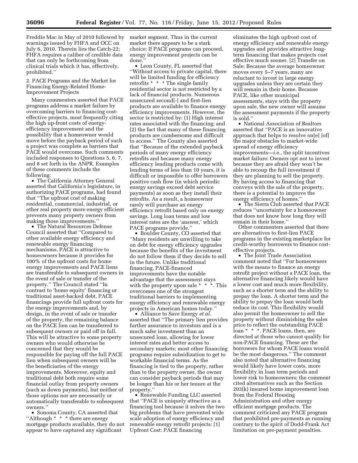Freddie Mac in May of 2010 followed by warnings issued by FHFA and OCC on July 6, 2010. Therein lies the Catch-22; FHFA requires a caliber of credible data that can only be forthcoming from clinical trials which it has, effectively, prohibited.''

2. PACE Programs and the Market for Financing Energy-Related Home-Improvement Projects

Many commenters asserted that PACE programs address a market failure by overcoming barriers to financing costeffective projects, most frequently citing the high up-front costs of energyefficiency improvement and the possibility that a homeowner would move before the payback period of such a project was complete as barriers that PACE would overcome. Such comments included responses to Questions 5, 6, 7, and 8 set forth in the ANPR. Examples of these comments include the following:

• The California Attorney General asserted that California's legislature, in authorizing PACE programs, had found that ''The upfront cost of making residential, commercial, industrial, or other real property more energy efficient prevents many property owners from making those improvements.''

• The Natural Resources Defense Council asserted that ''Compared to other available energy efficiency and renewable energy financing mechanisms, PACE is attractive to homeowners because it provides for 100% of the upfront costs for home energy improvements and PACE liens are transferable to subsequent owners in the event of sale or transfer of the property.'' The Council stated ''In contrast to 'home equity' financing or traditional asset-backed debt, PACE financings provide full upfront costs for the energy improvements and, by design, in the event of sale or transfer of the property, the remaining balance on the PACE lien can be transferred to subsequent owners or paid off in full. This will be attractive to some property owners who would otherwise be concerned that they would be responsible for paying off the full PACE lien when subsequent owners will be the beneficiaries of the energy improvements. Moreover, equity and traditional debt both require some financial outlay from property owners (such as down payments), but neither of those options nor are necessarily or automatically transferable to subsequent owners.''

• Sonoma County, CA asserted that ''Although \* \* \* there are energy mortgage products available, they do not appear to have captured any significant

market segment. Thus in the current market there appears to be a stark choice: If PACE programs can proceed, energy improvement projects can be done.''

• Leon County, FL asserted that ''Without access to private capital, there will be limited funding for efficiency retrofits \* \* \* The single family residential sector is not restricted by a lack of financial products. Numerous unsecured second[-] and first-lien products are available to finance energy efficiency improvements. However, the sector is restricted by: (1) High interest rates associated with the financing; and (2) the fact that many of these financing products are cumbersome and difficult to access.'' The County also asserted that ''Because of the extended payback periods of many energy efficiency retrofits and because many energy efficiency lending products come with lending terms of less than 10 years, it is difficult or impossible to offer borrowers positive cash flow (in which periodic energy savings exceed debt service payments) as soon as they install their retrofits. As a result, a homeowner rarely will purchase an energy efficiency retrofit based only on energy savings. Long loan terms and low interest rates are the 'answer,' which PACE programs provide.''

• Boulder County, CO asserted that ''Many residents are unwilling to take on debt for energy efficiency upgrades because the benefits of the investment do not follow them if they decide to sell in the future. Unlike traditional financing, PACE-financed improvements have the notable advantage that the assessment stays with the property upon sale \* \* \*. This overcomes one of the strongest traditional barriers to implementing energy efficiency and renewable energy projects in American homes today.''

• Alliance to Save Energy *et al.*  asserted that ''The primary lien provides further assurance to investors and is a much safer investment than an unsecured loan, allowing for lower interest rates and better access to secondary markets; most other financing programs require subsidization to get to workable financial terms. As the financing is tied to the property, rather than to the property owner, the owner can consider payback periods that may be longer than his or her tenure at the property.''

• Renewable Funding LLC asserted that ''PACE is uniquely attractive as a financing tool because it solves the two big problems that have prevented wide scale adoption of energy efficiency and renewable energy retrofit projects: [1] Upfront Cost: PACE financing

eliminates the high upfront cost of energy efficiency and renewable energy upgrades and provides attractive longterm financing that makes projects cost effective much sooner. [2] Transfer on Sale: Because the average homeowner moves every 5–7 years, many are reluctant to invest in large energy upgrades unless they are certain they will remain in their home. Because PACE, like other municipal assessments, stays with the property upon sale, the new owner will assume the assessment payments if the property is sold.''

• National Association of Realtors asserted that ''PACE is an innovative approach that helps to resolve on[e] [of] the major obstacles to market-wide spread of energy efficiency improvements—*i.e.,* the split incentives market failure: Owners opt not to invest because they are afraid they won't be able to recoup the full investment if they are planning to sell the property. By having access to financing that conveys with the sale of the property, there is a potential to improve the energy efficiency of homes.''

• The Sierra Club asserted that PACE reduces ''uncertainty for a homeowner that does not know how long they will remain in their home.''

Other commenters asserted that there are alternatives to first-lien PACE programs in the existing marketplace for credit-worthy borrowers to finance costeffective projects.

• The Joint Trade Association comment noted that ''For homeowners with the means to finance an energy retrofit project without a PACE loan, the alternative financing likely would have a lower cost and much more flexibility, such as a shorter term and the ability to prepay the loan. A shorter term and the ability to prepay the loan would both reduce its cost. This flexibility would also permit the homeowner to sell the property without diminishing the sales price to reflect the outstanding PACE loan \* \* \*. PACE loans, then, are directed at those who cannot qualify for non-PACE financing. These are the borrowers for whom PACE loans would be the most dangerous.'' The comment also noted that alternative financing would likely have lower costs, more flexibility in loan term periods and lower risk to homeowners; the comment cited alternatives such as the Section 203(k) insured home improvement loan from the Federal Housing Administration and other energy efficient mortgage products. The comment criticized any PACE program that prohibited pre-payments as running contrary to the spirit of Dodd-Frank Act limitation on pre-payment penalties.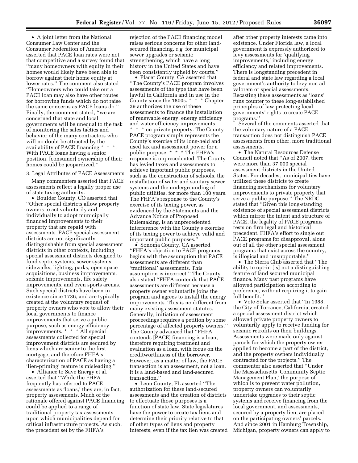• A joint letter from the National Consumer Law Center and the Consumer Federation of America asserted that PACE loan rates were not that competitive and a survey found that ''many homeowners with equity in their homes would likely have been able to borrow against their home equity at lower rates.'' The comment also stated ''Homeowners who could take out a PACE loan may also have other routes for borrowing funds which do not raise the same concerns as PACE loans do.'' Finally, the comment stated, ''we are concerned that state and local governments will be unequal to the task of monitoring the sales tactics and behavior of the many contractors who will no doubt be attracted by the availability of PACE financing \*  $\,^{\ast}$ With PACE loans having a senior position, [consumer] ownership of their homes could be jeopardized.''

# 3. Legal Attributes of PACE Assessments

Many commenters asserted that PACE assessments reflect a legally proper use of state taxing authority.

• Boulder County, CO asserted that ''Other special districts allow property owners to act voluntarily and individually to adopt municipally financed improvements to their property that are repaid with assessments. PACE special assessment districts are not significantly distinguishable from special assessment districts in other contexts, including special assessment districts designed to fund septic systems, sewer systems, sidewalks, lighting, parks, open space acquisitions, business improvements, seismic improvements, fire safety improvements, and even sports arenas. Such special districts have been in existence since 1736, and are typically created at the voluntary request of property owners who vote to allow their local governments to finance improvements that serve a public purpose, such as energy efficiency improvements. \* \* \* All special assessments collected for special improvement districts are secured by liens which are senior to the first mortgage, and therefore FHFA's characterization of PACE as having a 'lien-priming' feature is misleading.''

• Alliance to Save Energy et al. asserted that ''While the FHFA frequently has referred to PACE assessments as 'loans,' they are, in fact, property assessments. Much of the rationale offered against PACE financing could be applied to a range of traditional property tax assessments upon which municipalities depend for critical infrastructure projects. As such, the precedent set by the FHFA's

rejection of the PACE financing model raises serious concerns for other landsecured financing, *e.g.* for municipal sewer upgrades or seismic strengthening, which have a long history in the United States and have been consistently upheld by courts.''

• Placer County, CA asserted that ''The County's PACE program involves assessments of the type that have been lawful in California and in use in the County since the 1800s. \* \* \* Chapter 29 authorizes the use of these assessments to finance the installation of renewable energy, energy efficiency and water efficiency improvements \* \* \* on private property. The County PACE program simply represents the County's exercise of its long-held and used tax and assessment power for a public purpose. \* \* \* The FHFA's response is unprecedented. The County has levied taxes and assessments to achieve important public purposes, such as the construction of schools, the installation of water and sanitary sewer systems and the undergrounding of public utilities, for more than 100 years. The FHFA's response to the County's exercise of its taxing power, as evidenced by the Statements and the Advance Notice of Proposed Rulemaking, is an unprecedented interference with the County's exercise of its taxing power to achieve valid and important public purposes.''

• Sonoma County, CA asserted ''FHFA's objection to PACE programs begins with the assumption that PACE assessments are different than 'traditional' assessments. This assumption is incorrect.'' The County also stated ''FHFA contends that PACE assessments are different because a property owner voluntarily joins the program and agrees to install the energy improvements. This is no different from many existing assessment statutes. Generally, initiation of assessment proceedings requires a petition by some percentage of affected property owners.'' The County advanced that ''FHFA contends [PACE] financing is a loan, therefore requiring treatment and evaluation as a loan, with focus on the creditworthiness of the borrower. However, as a matter of law, the PACE transaction is an assessment, not a loan. It is a land-based and land-secured transaction.''

• Leon County, FL asserted ''The authorization for these land-secured assessments and the creation of districts to effectuate those purposes is a function of state law. State legislatures have the power to create tax liens and determine their priority relative to that of other types of liens and property interests, even if the tax lien was created

after other property interests came into existence. Under Florida law, a local government is expressly authorized to levy assessments for 'qualifying improvements,' including energy efficiency and related improvements. There is longstanding precedent in federal and state law regarding a local government's authority to levy non ad valorem or special assessments. Recasting these assessments as 'loans' runs counter to these long-established principles of law protecting local governments' rights to create PACE programs.''

Several of the comments asserted that the voluntary nature of a PACE transaction does not distinguish PACE assessments from other, more traditional assessments.

• The Natural Resources Defense Council noted that ''As of 2007, there were more than 37,000 special assessment districts in the United States. For decades, municipalities have utilized these districts to create financing mechanisms for voluntary improvements to private property that serve a public purpose.'' The NRDC stated that ''Given this long-standing existence of special assessment districts which mirror the intent and structure of PACE, the legality of PACE programs rests on firm legal and historical precedent. FHFA's effort to single out PACE programs for disapproval, alone out of all the other special assessment programs that exist across the country, is illogical and unsupportable.''

• The Sierra Club asserted that ''The ability to opt-in [is] not a distinguishing feature of land secured municipal finance. Many past programs have allowed participation according to preference, without requiring it to gain full benefit.''

• Vote Solar asserted that ''In 1988, the City of Torrance, California, created a special assessment district which allowed private property owners to voluntarily apply to receive funding for seismic retrofits on their buildings. Assessments were made only against parcels for which the property owner applied to become a part of the district, and the property owners individually contracted for the projects.'' The commenter also asserted that ''Under the Massachusetts 'Community Septic Management Plan,' the purpose of which is to prevent water pollution, property owners can voluntarily undertake upgrades to their septic systems and receive financing from the local government, and assessments, secured by a property lien, are placed on the participating owners' parcels. And since 2001 in Hamburg Township, Michigan, property owners can apply to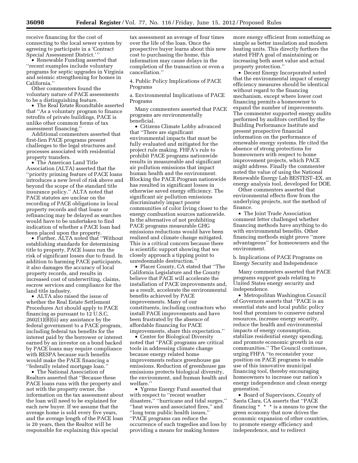receive financing for the cost of connecting to the local sewer system by agreeing to participate in a 'Contract Special Assessment District.' ''

• Renewable Funding asserted that ''recent examples include voluntary programs for septic upgrades in Virginia and seismic strengthening for homes in California.''

Other commenters found the voluntary nature of PACE assessments to be a distinguishing feature.

• The Real Estate Roundtable asserted that ''As a voluntary program to finance retrofits of private buildings, PACE is unlike other common forms of tax assessment financing.''

Additional commenters asserted that first-lien PACE programs present challenges to the legal structures and processes associated with residential property transfers.

• The American Land Title Association (ALTA) asserted that the ''priority priming feature of PACE loans introduces a new level of risk above and beyond the scope of the standard title insurance policy.'' ALTA noted that PACE statutes are unclear on the recording of PACE obligations in local property records and that loans or refinancing may be delayed as searches would have to be undertaken to find indication of whether a PACE loan had been placed upon the property.

• Further, ALTA noted that ''Without establishing standards for determining title to property, PACE loans run the risk of significant losses due to fraud. In addition to harming PACE participants, it also damages the accuracy of local property records, and results in increased cost of underwriting, claims, escrow services and compliance for the land title industry.

• ALTA also raised the issue of whether the Real Estate Settlement Procedures Act should apply to PACE financing as pursuant to 12 U.S.C.  $2602(1)$ (B)(ii) any assistance by the federal government to a PACE program, including federal tax benefits for the interest paid by the borrower or interest earned by an investor on a bond backed by PACE loans may require compliance with RESPA because such benefits would make the PACE financing a ''federally related mortgage loan.''

• The National Association of Realtors asserted that ''Because these PACE loans runs with the property and not with the property owner, the information on the tax assessment about the loan will need to be explained for each new buyer. If we assume that the average home is sold every five years, and the average length of the PACE loan is 20 years, then the Realtor will be responsible for explaining this special

tax assessment an average of four times over the life of the loan. Once the prospective buyer learns about this new cost to purchasing the home, this information may cause delays in the completion of the transaction or even a cancellation.''

4. Public Policy Implications of PACE Programs

a. Environmental Implications of PACE Programs

Many commenters asserted that PACE programs are environmentally beneficial.

• Citizens Climate Lobby advanced that ''There are significant environmental impacts that must be fully evaluated and mitigated for the project rule making. FHFA's rule to prohibit PACE programs nationwide results in measureable and significant air pollution emissions that impact human health and the environment. Blocking the PACE Program nationwide has resulted in significant losses in otherwise saved energy efficiency. The significant air pollution emissions discriminately impact poorer communities of color living closer to the energy combustion sources nationwide. In the alternative of not prohibiting PACE programs measurable GHG emissions reductions would have been realized and climate change mitigated. This is a critical concern because there is scientific support showing that we closely approach a tipping point to unredeemable destruction.

• Placer County, CA stated that ''The California Legislature and the County believe that PACE will accelerate the installation of PACE improvements and, as a result, accelerate the environmental benefits achieved by PACE improvements. Many of our constituents, including contractors who install PACE improvements and have been frustrated by the absence of affordable financing for PACE improvements, share this expectation.''

• Center for Biological Diversity noted that ''PACE programs are critical tools in addressing climate change because energy related home improvements reduce greenhouse gas emissions. Reduction of greenhouse gas emissions protects biological diversity, the environment, and human health and welfare.''

• Ygrene Energy Fund asserted that with respect to ''recent weather disasters,'' ''hurricane and tidal surges,'' ''heat waves and associated fires,'' and ''long term public health issues,'' ''PACE programs can reduce the occurrence of such tragedies and loss by providing a means for making homes

more energy efficient from something as simple as better insulation and modern heating units. This directly furthers the stated FHFA goal of maintaining or increasing both asset value and actual property protection.''

• Decent Energy Incorporated noted that the environmental impact of energy efficiency measures should be identical without regard to the financing mechanism, except where lower cost financing permits a homeowner to expand the number of improvements. The commenter supported energy audits performed by auditors certified by the Building Performance Institute and present prospective financial information on the performance of renewable energy systems. He cited the absence of strong protections for homeowners with respect to home improvement projects, which PACE might address. Finally the commenter noted the value of using the National Renewable Energy Lab BESTEST–EX, an energy analysis tool, developed for DOE.

Other commenters asserted that environmental effects flow from the underlying projects, not the method of finance.

• The Joint Trade Association comment letter challenged whether financing methods have anything to do with environmental benefits. Other financing methods might prove ''more advantageous'' for homeowners and the environment.

b. Implications of PACE Programs on Energy Security and Independence

Many commenters asserted that PACE programs support goals relating to United States energy security and independence.

• Metropolitan Washington Council of Governors asserts that ''PACE is an essential state and local public policy tool that promises to conserve natural resources, increase energy security, reduce the health and environmental impacts of energy consumption, stabilize residential energy spending, and promote economic growth in our communities.'' The Council continues, urging FHFA ''to reconsider your position on PACE programs to enable use of this innovative municipal financing tool, thereby encouraging homeowners to increase our nation's energy independence and clean energy generation.''

• Board of Supervisors, County of Santa Clara, CA asserts that ''PACE financing \* \* \* is a means to grow the green economy that now drives the economic expansion of other countries, to promote energy efficiency and independence, and to redirect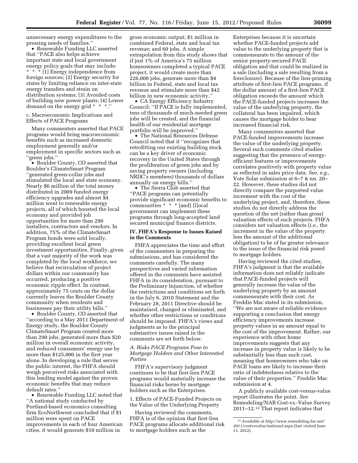unnecessary energy expenditures to the pressing needs of families.''

• Renewable Funding LLC asserted that ''PACE also helps achieve important state and local government energy policy goals that may include: \* \* \* [1] Energy independence from foreign sources; [2] Energy security for states by limiting reliance on inter-state energy transfers and strain on distribution systems; [3] Avoided costs of building new power plants; [4] Lower demand on the energy grid \* \* \*.''

c. Macroeconomic Implications and Effects of PACE Programs

Many commenters asserted that PACE programs would bring macroeconomic benefits such as increased domestic employment generally and/or employment in specific sectors such as 'green jobs."

• Boulder County, CO asserted that Boulder's ClimateSmart Program ''generated green-collar jobs and stimulated the local and state economy. Nearly \$6 million of the total money distributed in 2009 funded energy efficiency upgrades and almost \$4 million went to renewable energy projects, all of which boosted the local economy and provided job opportunities for more than 290 installers, contractors and vendors. In addition, 75% of the ClimateSmart Program bonds were sold locally, providing excellent local green investment opportunities. Finally, given that a vast majority of the work was completed by the local workforce, we believe that recirculation of project dollars within our community has occurred, producing a positive economic ripple effect. In contrast, approximately 75 cents on the dollar currently leaves the Boulder County community when residents and businesses pay their utility bills.''

• Boulder County, CO asserted that ''according to a May 2011 Department of Energy study, the Boulder County ClimateSmart Program created more than 290 jobs, generated more than \$20 million in overall economic activity, and reduced consumers' energy use by more than \$125,000 in the first year alone. In developing a rule that serves the public interest, the FHFA should weigh perceived risks associated with this lending model against the proven economic benefits that may reduce default rates.''

• Renewable Funding LLC noted that ''A national study conducted by Portland-based economics consulting firm EcoNorthwest concluded that if \$1 million were spent on PACE improvements in each of four American cities, it would generate \$10 million in

gross economic output; \$1 million in combined Federal, state and local tax revenue; and 60 jobs. A simple extrapolation from this study shows that if just 1% of America's 75 million homeowners completed a typical PACE project, it would create more than 226,000 jobs, generate more than \$4 billion in Federal, state and local tax revenue and stimulate more than \$42 billion in new economic activity.''

• CA Energy Efficiency Industry Council: ''If PACE is fully implemented, tens of thousands of much-needed green jobs will be created, and the financial health of our residential mortgage portfolio will be improved.''

• The National Resources Defense Council noted that it ''recognizes that retrofitting our existing building stock can be a key driver of economic recovery in the United States through the proliferation of green jobs and by saving property owners (including NRDC's members) thousands of dollars annually on energy bills.''

• The Sierra Club asserted that ''PACE programs can potentially provide significant economic benefits to communities \* \* \* [and] [l]ocal government can implement these programs through long-accepted land secured municipal finance districts.

#### **IV. FHFA's Response to Issues Raised in the Comments**

FHFA appreciates the time and effort of the commenters in preparing the submissions, and has considered the comments carefully. The many perspectives and varied information offered in the comments have assisted FHFA in its consideration, pursuant to the Preliminary Injunction, of whether the restrictions and conditions set forth in the July 6, 2010 Statement and the February 28, 2011 Directive should be maintained, changed or eliminated, and whether other restrictions or conditions should be imposed. FHFA's views and judgments as to the principal substantive issues raised in the comments are set forth below.

# *A. Risks PACE Programs Pose to Mortgage Holders and Other Interested Parties*

FHFA's supervisory judgment continues to be that first-lien PACE programs would materially increase the financial risks borne by mortgage holders such as the Enterprises.

1. Effects of PACE-Funded Projects on the Value of the Underlying Property

Having reviewed the comments, FHFA is of the opinion that first-lien PACE programs allocate additional risk to mortgage holders such as the

Enterprises because it is uncertain whether PACE-funded projects add value to the underlying property that is commensurate to the amount of the senior property-secured PACE obligation and that could be realized in a sale (including a sale resulting from a foreclosure). Because of the lien-priming attribute of first-lien PACE programs, if the dollar amount of a first-lien PACE obligation exceeds the amount which the PACE-funded projects increases the value of the underlying property, the collateral has been impaired, which causes the mortgage holder to bear increased financial risk.

Many commenters asserted that PACE-funded improvements increase the value of the underlying property. Several such comments cited studies suggesting that the presence of energyefficient features or improvements correlates positively with property value as reflected in sales price data. *See, e.g.,*  Vote Solar submission at 6–7 & nn. 20– 22. However, these studies did not directly compare the purported value increment with the cost of the underlying project, and, therefore, these studies do not directly address the question of the net (rather than gross) valuation effects of such projects. FHFA considers net valuation effects (*i.e.,* the increment in the value of the property less the amount of the additional obligation) to be of far greater relevance to the issue of the financial risk posed to mortgage holders.

Having reviewed the cited studies, FHFA's judgment is that the available information does not reliably indicate that PACE-funded projects will generally increase the value of the underlying property by an amount commensurate with their cost. As Freddie Mac stated in its submission, ''We are not aware of reliable evidence supporting a conclusion that energy efficiency improvements increase property values in an amount equal to the cost of the improvement. Rather, our experience with other home improvements suggests that any increase in property value is likely to be substantially less than such cost, meaning that homeowners who take on PACE loans are likely to increase their ratio of indebtedness relative to the value of their properties.'' Freddie Mac submission at 4.

A publicly available cost-versus-value report illustrates the point. *See*  Remodeling/NAR Cost-vs.-Value Survey 2011–12.12 That report indicates that

<sup>12</sup>*Available at [http://www.remodeling.hw.net/](http://www.remodeling.hw.net/2011/costvsvalue/national.aspx) [2011/costvsvalue/national.aspx](http://www.remodeling.hw.net/2011/costvsvalue/national.aspx)* (last visited June 11, 2012).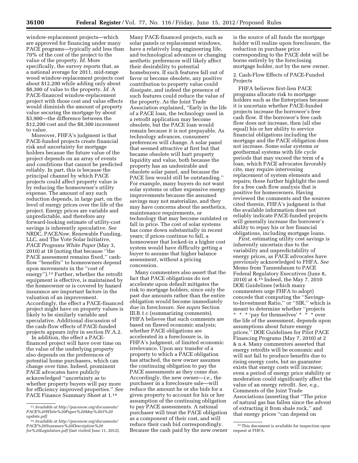window-replacement projects—which are approved for financing under many PACE programs—typically add less than 70% of the cost of the project to the value of the property. *Id.* More specifically, the survey reports that, as a national average for 2011, mid-range wood window-replacement projects cost about \$12,200 while adding only about \$8,300 of value to the property. *Id.* A PACE-financed window-replacement project with those cost and value effects would diminish the amount of property value securing the mortgage by about \$3,900—the difference between the \$12,200 cost and the \$8,300 increment to value.

Moreover, FHFA's judgment is that PACE-funded projects create financial risk and uncertainty for mortgage holders because the future value of the project depends on an array of events and conditions that cannot be predicted reliably. In part, this is because the principal channel by which PACE projects could affect property value is by reducing the homeowner's utility expense. The amount of any such reduction depends, in large part, on the level of energy prices over the life of the project. Energy prices are variable and unpredictable, and therefore any forward-looking estimate of utility-cost savings is inherently speculative. *See*  NRDC, PACE*Now,* Renewable Funding, LLC, and The Vote Solar Initiative, *PACE Programs White Paper* (May 3, 2010) at 18 (noting that because ''the PACE assessment remains fixed,'' cashflow ''benefits'' to homeowners depend upon movements in the ''cost of energy'').13 Further, whether the retrofit equipment is effective, is maintained by the homeowner or is covered by hazard insurance are important factors in the valuation of an improvement. Accordingly, the effect a PACE-financed project might have on property values is likely to be similarly variable and speculative. Additional discussion of the cash-flow effects of PACE-funded projects appears *infra* in section IV.A.2.

In addition, the effect a PACEfinanced project will have over time on the value of the underlying property also depends on the preferences of potential home purchasers, which can change over time. Indeed, prominent PACE advocates have publicly acknowledged ''uncertainty as to whether property buyers will pay more for efficiency improved properties.'' *See*  PACE Finance Summary Sheet at 1.14

Many PACE-financed projects, such as solar panels or replacement windows, have a relatively long engineering life, and technological advances or changing aesthetic preferences will likely affect their desirability to potential homebuyers. If such features fall out of favor or become obsolete, any positive contribution to property value could dissipate, and indeed the presence of such features could reduce the value of the property. As the Joint Trade Association explained, ''Early in the life of a PACE loan, the technology used in a retrofit application may become obsolete, but the PACE loan would remain because it is not prepayable. As technology advances, consumers' preferences will change. A solar panel that seemed attractive at first but that became obsolete will hurt property liquidity and value, both because the property has an undesirable and obsolete solar panel, and because the PACE lien would still be outstanding.'' For example, many buyers do not want solar systems or other expensive energy improvements because the assumed savings may not materialize, and they may have concerns about the aesthetics, maintenance requirements, or technology that may become outdated or fall in price. The cost of solar systems has come down substantially in recent years; if prices continue to fall, a homeowner that locked-in a higher cost system would have difficulty getting a buyer to assume that higher balance assessment, without a pricing concession.

Many commenters also assert that the fact that PACE obligations do not accelerate upon default mitigates the risk to mortgage holders, since only the past due amounts rather than the entire obligation would become immediately due in foreclosure. *See supra* Section III.B.1.c (summarizing comments). FHFA believes that such comments are based on flawed economic analysis; whether PACE obligations are accelerated in a foreclosure is, in FHFA's judgment, of limited economic irrelevance. Upon any transfer of a property to which a PACE obligation has attached, the new owner assumes the continuing obligation to pay the PACE assessments as they come due. Accordingly, the new owner—*i.e.,* the purchaser in a foreclosure sale—will reduce the amount he or she bids for a given property to account for his or her assumption of the continuing obligation to pay PACE assessments. A rational purchaser will treat the PACE obligation as a component of their cost, and will reduce their cash bid correspondingly. Because the cash paid by the new owner

is the source of all funds the mortgage holder will realize upon foreclosure, the reduction in purchase price corresponding to the PACE debt will be borne entirely by the foreclosing mortgage holder, not by the new owner.

# 2. Cash-Flow Effects of PACE-Funded Projects

FHFA believes first-lien PACE programs allocate risk to mortgage holders such as the Enterprises because it is uncertain whether PACE-funded projects increase the borrower's free cash flow. If the borrower's free cash flow does not increase, then (all else equal) his or her ability to service financial obligations including the mortgage and the PACE obligation does not increase. Some solar systems or geothermal systems with life cycle periods that may exceed the term of a loan, which PACE advocates favorably cite, may require intervening replacement of system elements and repairs; these further highlight the need for a free cash flow analysis that is positive for homeowners. Having reviewed the comments and the sources cited therein, FHFA's judgment is that the available information does not reliably indicate PACE-funded projects will generally increase the borrower's ability to repay his or her financial obligations, including mortgage loans.

*First,* estimating utility cost savings is inherently uncertain due to the variability and unpredictability of energy prices, as PACE advocates have previously acknowledged to FHFA. *See*  Memo from Tannenbaum to PACE Federal Regulatory Executives (June 8, 2010) at 4.15 Indeed, the May 7, 2010 DOE Guidelines (which many commenters urge FHFA to adopt) concede that computing the ''Savingsto-Investment Ratio,'' or ''SIR,'' which is meant to determine whether ''projects \* \* \* 'pay for themselves' \* \* \* over the life of the assessment, depends upon assumptions about future energy prices.'' DOE Guidelines for Pilot PACE Financing Programs (May 7, 2010) at 2 & n.4. Many commenters asserted that energy retrofits will be economic and will not fail to produce benefits due to rising energy costs, but no guarantee exists that energy costs will increase; even a period of energy price stability or moderation could significantly affect the value of an energy retrofit. *See, e.g.,*  Comments of the Joint Trade Associations (asserting that ''The price of natural gas has fallen since the advent of extracting it from shale rock,'' and that energy prices ''can depend on

<sup>13</sup>*Available at [http://pacenow.org/documents/](http://pacenow.org/documents/PACE%20White%20Paper%20May%203%20update.pdf) [PACE%20White%20Paper%20May%203%20](http://pacenow.org/documents/PACE%20White%20Paper%20May%203%20update.pdf) [update.pdf.](http://pacenow.org/documents/PACE%20White%20Paper%20May%203%20update.pdf)* 

<sup>14</sup>*Available at [http://pacenow.org/documents/](http://pacenow.org/documents/PACE%20Summary%20Description%20for%20Legislators.pdf) [PACE%20Summary%20Description%20](http://pacenow.org/documents/PACE%20Summary%20Description%20for%20Legislators.pdf) [for%20Legislators.pdf](http://pacenow.org/documents/PACE%20Summary%20Description%20for%20Legislators.pdf)* (last visited June 11, 2012).

<sup>15</sup>This document is available for inspection upon request at FHFA.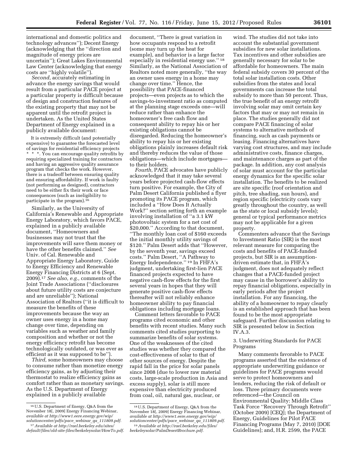international and domestic politics and technology advances''); Decent Energy (acknowledging that the ''direction and magnitude of energy prices are uncertain''); Great Lakes Environmental Law Center (acknowledging that energy costs are ''highly volatile'').

*Second,* accurately estimating in advance the energy savings that would result from a particular PACE project at a particular property is difficult because of design and construction features of the existing property that may not be apparent until the retrofit project is undertaken. As the United States Department of Energy explained in a publicly available document:

It is extremely difficult (and potentially expensive) to guarantee the forecasted level of savings for residential efficiency projects \* \* \*. You can encourage quality retrofits by requiring specialized training for contractors and having an aggressive quality assurance program that checks the work. However, there is a tradeoff between ensuring quality and ensuring affordability. If work is faulty (not performing as designed), contractors need to be either fix their work or face consequences (such as ineligibility to participate in the program). $16$ 

Similarly, as the University of California's Renewable and Appropriate Energy Laboratory, which favors PACE, explained in a publicly available document, ''Homeowners and businesses may not trust that the improvements will save them money or have the other benefits claimed.'' *See*  Univ. of Cal. Renewable and Appropriate Energy Laboratory, Guide to Energy Efficiency and Renewable Energy Financing Districts at 6 (Sept. 2009).17 *See also, e.g.,* comments of the Joint Trade Associations (''disclosures about future utility costs are conjecture and are unreliable''); National Association of Realtors (''it is difficult to measure the benefits of these improvements because the way an owner uses energy in a home may change over time, depending on variables such as weather and family composition and whether or not the energy efficiency retrofit has become technologically outdated, or was ever as efficient as it was supposed to be'').

*Third,* some homeowners may choose to consume rather than monetize energy efficiency gains, as by adjusting their thermostat to realize efficiency gains as comfort rather than as monetary savings. As the U.S. Department of Energy explained in a publicly available

document, ''There is great variation in how occupants respond to a retrofit (some may turn up the heat for example), and behavior is a large factor especially in residential energy use.'' 18 Similarly, as the National Association of Realtors noted more generally, ''the way an owner uses energy in a home may change over time.'' Hence, the possibility that PACE-financed projects—even projects as to which the savings-to-investment ratio as computed at the planning stage exceeds one—will reduce rather than enhance the homeowner's free cash flow and consequent ability to repay his or her existing obligations cannot be disregarded. Reducing the homeowner's ability to repay his or her existing obligations plainly increases default risk and thereby reduces the value of those obligations—which include mortgages to their holders.

*Fourth,* PACE advocates have publicly acknowledged that it may take several years before projected cash-flow effects turn positive. For example, the City of Palm Desert California published a flyer promoting its PACE program, which included a ''How Does It Actually Work?'' section setting forth an example involving installation of ''a 3.1 kW photovoltaic system for a net cost of \$20,000.'' According to that document, ''The monthly loan cost of \$160 exceeds the initial monthly utility savings of \$120.'' Palm Desert adds that ''However, by the seventh year, savings exceed costs.'' Palm Desert, ''A Pathway to Energy Independence.'' 19 In FHFA's judgment, undertaking first-lien PACE financed projects expected to have negative cash-flow effects for the first several years in hopes that they will generate positive cash-flow effects thereafter will not reliably enhance homeowner ability to pay financial obligations including mortgage loans.

Comment letters favorable to PACE programs cited economic and other benefits with recent studies. Many such comments cited studies purporting to summarize benefits of solar systems. One of the weaknesses of the cited studies was whether they compared the cost-effectiveness of solar to that of other sources of energy. Despite the rapid fall in the price for solar panels since 2008 (due to lower raw material costs, large-scale production in Asia and excess supply), solar is still more expensive than electricity produced from coal, oil, natural gas, nuclear, or

wind. The studies did not take into account the substantial government subsidies for new solar installations. Tax incentives and other subsidies are generally necessary for solar to be affordable for homeowners. The main federal subsidy covers 30 percent of the total solar installation costs. Other subsidies from the states and local governments can increase the total subsidy to more than 50 percent. Thus, the true benefit of an energy retrofit involving solar may omit certain key factors that may or may not remain in place. The studies generally did not compare PACE financing of solar systems to alternative methods of financing, such as cash payments or leasing. Financing alternatives have varying cost structures, and may include administrative costs, finance charges, and maintenance charges as part of the package. In addition, any cost analysis of solar must account for the particular energy dynamics for the specific solar installation. The benefits to be realized are site specific (roof orientation and pitch, tree shading, sun hours), and region specific (electricity costs vary greatly throughout the country, as well as the state or local subsidy levels); general or typical performance metrics may not be applicable for a given property.

Commenters advance that the Savings to Investment Ratio (SIR) is the most relevant measure for comparing the costs and benefits of PACE-funded projects, but SIR is an assumptiondriven estimate that, in FHFA's judgment, does not adequately reflect changes that a PACE-funded project may cause in the borrower's ability to repay financial obligations, especially in early periods after the project installation. For any financing, the ability of a homeowner to repay clearly is an established approach that has been found to be the most appropriate safeguard. Further discussion relating to SIR is presented below in Section IV.A.3.

# 3. Underwriting Standards for PACE Programs

Many comments favorable to PACE programs asserted that the existence of appropriate underwriting guidance or guidelines for PACE programs would serve to protect homeowners and lenders, reducing the risk of default or loss. Three primary documents were referenced—the Council on Environmental Quality: Middle Class Task Force ''Recovery Through Retrofit'' (October 2009) [CEQ]; the Department of Energy, Guidelines for Pilot PACE Financing Programs (May 7, 2010) [DOE Guidelines]; and, H.R. 2599, the PACE

<sup>16</sup>U.S. Department of Energy, Q&A from the November 18[, 2009] Energy Financing Webinar, *available at [http://www1.eere.energy.gov/wip/](http://www1.eere.energy.gov/wip/solutioncenter/pdfs/pace_webinar_qa_111809.pdf) [solutioncenter/pdfs/pace](http://www1.eere.energy.gov/wip/solutioncenter/pdfs/pace_webinar_qa_111809.pdf)*\_*webinar*\_*qa*\_*111809.pdf.* 

<sup>17</sup>*Available at [http://rael.berkeley.edu/sites/](http://rael.berkeley.edu/sites/default/files/old-site-files/berkeleysolar/HowTo.pdf) [default/files/old-site-files/berkeleysolar/HowTo.pdf.](http://rael.berkeley.edu/sites/default/files/old-site-files/berkeleysolar/HowTo.pdf)* 

<sup>18</sup>U.S. Department of Energy, Q&A from the November 18[, 2009] Energy Financing Webinar, *available at [http://www1.eere.energy.gov/wip/](http://www1.eere.energy.gov/wip/solutioncenter/pdfs/pace_webinar_qa_111809.pdf) [solutioncenter/pdfs/pace](http://www1.eere.energy.gov/wip/solutioncenter/pdfs/pace_webinar_qa_111809.pdf)*\_*webinar*\_*qa*\_*111809.pdf.* 19*Available at [http://rael.berkeley.edu/files/](http://rael.berkeley.edu/files/berkeleysolar/PalmDesertBrochure.pdf)* 

*[berkeleysolar/PalmDesertBrochure.pdf.](http://rael.berkeley.edu/files/berkeleysolar/PalmDesertBrochure.pdf)*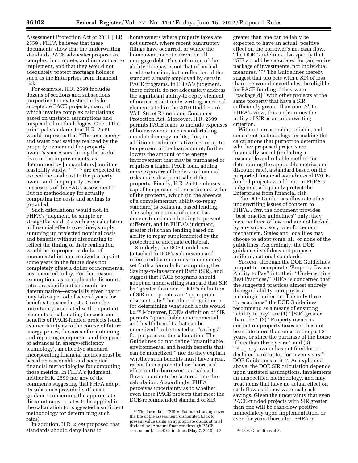Assessment Protection Act of 2011 [H.R. 2559]. FHFA believes that these documents show that the underwriting standards PACE advocates propose are complex, incomplete, and impractical to implement, and that they would not adequately protect mortgage holders such as the Enterprises from financial risk.

For example, H.R. 2599 includes dozens of sections and subsections purporting to create standards for acceptable PACE projects, many of which involve complex calculations based on unstated assumptions and unspecified methodologies. One of the principal standards that H.R. 2599 would impose is that ''The total energy and water cost savings realized by the property owner and the property owner's successors during the useful lives of the improvements, as determined by [a mandatory] audit or feasibility study, \* \* \* are expected to exceed the total cost to the property owner and the property owner's successors of the PACE assessment.'' But no methodology for actually computing the costs and savings is provided.

Such calculations would not, in FHFA's judgment, be simple or straightforward. As with any calculation of financial effects over time, simply summing up projected nominal costs and benefits without discounting to reflect the timing of their realization would be improper—a dollar of incremental income realized at a point some years in the future does not completely offset a dollar of incremental cost incurred today. For that reason, assumptions as to applicable discounts rates are significant and could be determinative—especially given that it may take a period of several years for benefits to exceed costs. Given the uncertainty associated with important elements of calculating the costs and benefits of PACE-funded projects (such as uncertainty as to the course of future energy prices, the costs of maintaining and repairing equipment, and the pace of advances in energy-efficiency technology), an effective standard incorporating financial metrics must be based on reasonable and accepted financial methodologies for computing those metrics. In FHFA's judgment, neither H.R. 2599 nor any of the comments suggesting that FHFA adopt its substance provided sufficient guidance concerning the appropriate discount rates or rates to be applied in the calculation (or suggested a sufficient methodology for determining such rates).

In addition, H.R. 2599 proposed that standards should deny loans to

homeowners where property taxes are not current, where recent bankruptcy filings have occurred, or where the homeowner is not current on all mortgage debt. This definition of the ability-to-repay is not that of normal credit extension, but a reflection of the standard already employed by certain PACE programs. In FHFA's judgment, these criteria do not adequately address the significant ability-to-repay element of normal credit underwriting, a critical element cited in the 2010 Dodd Frank Wall Street Reform and Consumer Protection Act. Moreover, H.R. 2599 permits PACE loans to include expenses of homeowners such as undertaking mandated energy audits; this, in addition to administrative fees of up to ten percent of the loan amount, further lowers the amount of the energy improvement that may be purchased or requires a higher PACE loan, adding more exposure of lenders to financial risks in a subsequent sale of the property. Finally, H.R. 2599 endorses a cap of ten percent of the estimated value of the property, which (in the absence of a complementary ability-to-repay standard) is collateral based lending. The subprime crisis of recent has demonstrated such lending to present different, and in FHFA's judgment, greater risks than lending based on ability to repay supplemented by the protection of adequate collateral.

Similarly, the DOE Guidelines (attached to DOE's submission and referenced by numerous commenters) set forth a formula for computing the Savings-to-Investment Ratio (SIR), and suggest that PACE programs should adopt an underwriting standard that SIR be ''greater than one.'' DOE's definition of SIR incorporates an ''appropriate discount rate,'' but offers no guidance for determining what such a rate would be.20 Moreover, DOE's definition of SIR permits ''quantifiable environmental and health benefits that can be monetized'' to be treated as ''savings'' for purposes of the calculation. The Guidelines do not define ''quantifiable environmental and health benefits that can be monetized,'' nor do they explain whether such benefits must have a real, rather than a potential or theoretical, effect on the borrower's actual cashflows in order to be factored into the calculation. Accordingly, FHFA perceives uncertainty as to whether even those PACE projects that meet the DOE-recommended standard of SIR

greater than one can reliably be expected to have an actual, positive effect on the borrower's net cash flow. The DOE Guidelines also specify that ''SIR should be calculated for [an] entire package of investments, not individual measures.'' 21 The Guidelines thereby suggest that projects with a SIR of less than one would nevertheless be eligible for PACE funding if they were ''package[d]'' with other projects at the same property that have a SIR sufficiently greater than one. *Id.* In FHFA's view, this undermines the utility of SIR as an underwriting criterion.

Without a reasonable, reliable, and consistent methodology for making the calculations that purport to determine whether proposed projects are financially sound (including a reasonable and reliable method for determining the applicable metrics and discount rate), a standard based on the purported financial soundness of PACEfunded projects would not, in FHFA's judgment, adequately protect the Enterprises from financial risk.

The DOE Guidelines illustrate other underwriting issues of concern to FHFA. *First,* the document provides ''best practice guidelines'' only; they have no force of law and are not backed by any supervisory or enforcement mechanism. States and localities may choose to adopt some, all, or none of the guidelines. Accordingly, the DOE guidance itself does not propose uniform, national standards.

*Second,* although the DOE Guidelines purport to incorporate ''Property Owner Ability to Pay'' into their ''Underwriting Best Practices,'' FHFA is concerned that the suggested practices almost entirely disregard ability-to-repay as a meaningful criterion. The only three ''precautions'' the DOE Guidelines recommend as a means of ensuring ''ability to pay'' are (1) ''[SIR] greater than one,'' (2) ''Property owner is current on property taxes and has not been late more than once in the past 3 years, or since the purchase of the house if less than three years,'' and (3) ''Property owner has not filed for or declared bankruptcy for seven years.'' DOE Guidelines at 6–7. As explained above, the DOE SIR calculation depends upon unstated assumptions, implements an unspecified methodology, and may treat items that have no actual effect on cash-flow as if they were real cash savings. Given the uncertainty that even PACE-funded projects with SIR greater than one will be cash-flow positive immediately upon implementation, or even for years thereafter, FHFA is

<sup>20</sup>The formula is ''SIR = [Estimated savings over the life of the assessment, discounted back to present value using an appropriate discount rate] divided by [Amount financed through PACE assessment]." DOE Guidelines (May 7, 2010) at 2. <sup>21</sup> DOE Guidelines at 3.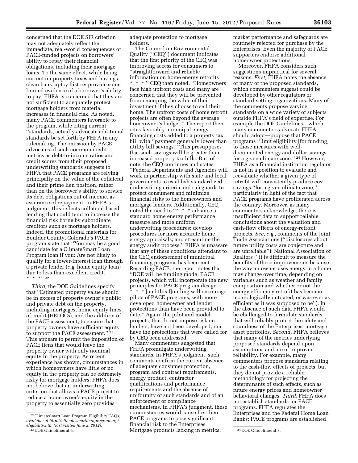concerned that the DOE SIR criterion may not adequately reflect the immediate, real-world consequences of PACE-funded projects on borrowers' ability to repay their financial obligations, including their mortgage loans. To the same effect, while being current on property taxes and having a clean bankruptcy history provide some limited evidence of a borrower's ability to pay, FHFA is concerned that they are not sufficient to adequately protect mortgage holders from material increases in financial risk. As noted, many PACE commenters favorable to the program, while citing current ''standards, actually advocate additional standards be set forth by FHFA in any rulemaking. The omission by PACE advocates of such common credit metrics as debt-to-income ratios and credit scores from their proposed underwriting standards suggests to FHFA that PACE programs are relying principally on the value of the collateral and their prime lien position, rather than on the borrower's ability to service its debt obligations out of income, as assurance of repayment. In FHFA's judgment, this reflects collateral-based lending that could tend to increase the financial risk borne by subordinate creditors such as mortgage holders. Indeed, the promotional materials for Boulder County, Colorado's PACE program state that ''You may be a good candidate for a ClimateSmart Loan Program loan if you: Are not likely to qualify for a lower-interest loan through a private lender (*e.g.* home equity loan) due to less-than-excellent credit. \* \* \*'' 22

*Third,* the DOE Guidelines specify that ''Estimated property value should be in excess of property owner's public and private debt on the property, including mortgages, home equity lines of credit (HELOCs), and the addition of the PACE assessment, to ensure that property owners have sufficient equity to support the PACE assessment.'' 23 This appears to permit the imposition of PACE liens that would leave the property owner with only nominal equity in the property. As recent experience has shown, circumstances in which homeowners have little or no equity in the property can be extremely risky for mortgage holders; FHFA does not believe that an underwriting criterion that allows a PACE project to reduce a homeowner's equity in the property to essentially zero provides

adequate protection to mortgage holders.

The Council on Environmental Quality (''CEQ'') document indicates that the first priority of the CEQ was improving access for consumers to ''straightforward and reliable information on home energy retrofits \* \* \*.'' CEQ then noted, ''Homeowners face high upfront costs and many are concerned that they will be prevented from recouping the value of their investment if they choose to sell their home. The upfront costs of home retrofit projects are often beyond the average homeowner's budget.'' The report then cites favorably municipal energy financing costs added to a property tax bill with ''payment generally lower than utility bill savings.'' This presupposes that such savings will be greater than increased property tax bills. But, of note, the CEQ continues and states ''Federal Departments and Agencies will work in partnership with state and local governments to establish standardized underwriting criteria and safeguards to protect consumers and minimize financial risks to the homeowners and mortgage lenders. Additionally, CEQ noted the need to "\* \* \* advance a standard home energy performance measure and more uniform underwriting procedures; develop procedures for more accurate home energy appraisals; and streamline the energy audit process.'' FHFA is unaware that any of these conditions attendant to the CEQ endorsement of municipal financing programs has been met. Regarding PACE, the report notes that ''DOE will be funding model PACE projects, which will incorporate the new principles for PACE program design \* \* \* [and this f]unding will encourage pilots of PACE programs, with more developed homeowner and lender protections than have been provided to date.'' Again, the pilot and model projects, that do not impose risk on lenders, have not been developed, nor have the protections that were called for by CEQ been addressed.

23 DOE Guidelines at 6. 24 DOE Guidelines at 3. Mortgage products lacking in metrics, Many commenters suggested that FHFA promulgate underwriting standards. In FHFA's judgment, such comments confirm the current absence of adequate consumer protection, program and contract requirements, energy product, contractor qualifications and performance requirements and the absence of uniformity of such standards and of an enforcement or compliance mechanisms. In FHFA's judgment, these circumstances would cause first-lien PACE programs to pose significant financial risk to the Enterprises.

market performance and safeguards are routinely rejected for purchase by the Enterprises. Even the majority of PACE supporters endorse additional homeowner protections.

Moreover, FHFA considers such suggestions impractical for several reasons. *First,* FHFA notes the absence of many of the proposed standards, which commenters suggest could be developed by other regulators or standard-setting organizations. Many of the comments propose varying standards on a wide variety of subjects outside FHFA's field of expertise. For example the DOE Guidelines—which many commenters advocate FHFA should adopt—propose that PACE programs ''limit eligibility [for funding] to those measures with welldocumented energy and dollar savings for a given climate zone.'' 24 However, FHFA as a financial institution regulator is not in a position to evaluate and reevaluate whether a given type of retrofit will consistently produce cost savings ''for a given climate zone,'' particularly in light of the fact that PACE programs have proliferated across the country. Moreover, as many commenters acknowledge, there is insufficient data to support reliable conclusions about the valuation and cash-flow effects of energy-retrofit projects. *See, e.g.,* comments of the Joint Trade Associations (''disclosures about future utility costs are conjecture and are unreliable''); National Association of Realtors (''it is difficult to measure the benefits of these improvements because the way an owner uses energy in a home may change over time, depending on variables such as weather and family composition and whether or not the energy efficiency retrofit has become technologically outdated, or was ever as efficient as it was supposed to be''). In the absence of such data FHFA would be challenged to formulate standards that will reliably protect the safety and soundness of the Enterprises' mortgage asset portfolios. *Second,* FHFA believes that many of the metrics underlying proposed standards depend upon assumptions and are of unproven reliability. For example, many commenters propose standards relating to the cash-flow effects of projects, but they do not provide a reliable methodology for projecting the determinants of such effects, such as future energy prices and homeowner behavioral changes. *Third,* FHFA does not establish standards for PACE programs. FHFA regulates the Enterprises and the Federal Home Loan Banks; PACE programs are established

<sup>22</sup>ClimateSmart Loan Program Eligibility FAQs, *available at [http://climatesmartloanprogram.org/](http://climatesmartloanprogram.org/eligibility.htm) [eligibility.htm](http://climatesmartloanprogram.org/eligibility.htm) (last visited June 2, 2012).*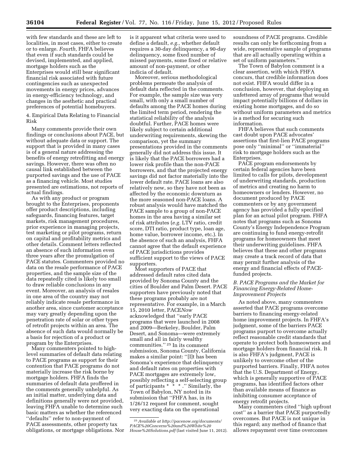with few standards and these are left to localities, in most cases, either to create or to enlarge. *Fourth,* FHFA believes that even if such standards could be devised, implemented, and applied, mortgage holders such as the Enterprises would still bear significant financial risk associated with future contingencies such as unexpected movements in energy prices, advances in energy-efficiency technology, and changes in the aesthetic and practical preferences of potential homebuyers.

4. Empirical Data Relating to Financial Risk

Many comments provide their own findings or conclusions about PACE, but without adequate data or support. The support that is provided in many cases is of a general nature addressing the benefits of energy retrofitting and energy savings. However, there was often no causal link established between the purported savings and the use of PACE as a financing vehicle. Most studies presented are estimations, not reports of actual findings.

As with any product or program brought to the Enterprises, proponents offer product descriptions, including safeguards, financing features, target markets, risk management procedures, prior experience in managing projects, test marketing or pilot programs, return on capital and profitability metrics and other details. Comment letters reflected an absence of such information even three years after the promulgation of PACE statutes. Commenters provided no data on the resale performance of PACE properties, and the sample size of the data repeatedly cited is likely too small to draw reliable conclusions in any event. Moreover, an analysis of resales in one area of the country may not reliably indicate resale performance in another area, since customer acceptance may vary greatly depending upon the penetration rate of solar or other types of retrofit projects within an area. The absence of such data would normally be a basis for rejection of a product or program by the Enterprises.

Many commenters pointed to highlevel summaries of default data relating to PACE programs as support for their contention that PACE programs do not materially increase the risk borne by mortgage holders. FHFA finds the summaries of default data proffered in the comments generally unhelpful. As an initial matter, underlying data and definitions generally were not provided, leaving FHFA unable to determine such basic matters as whether the referenced ''defaults'' refer to non-payment of PACE assessments, other property tax obligations, or mortgage obligations. Nor is it apparent what criteria were used to define a default, *e.g.,* whether default requires a 30-day delinquency, a 90-day delinquency, some fixed number of missed payments, some fixed or relative amount of non-payment, or other indicia of default.

Moreover, serious methodological problems permeate the analysis of default data reflected in the comments. For example, the sample size was very small, with only a small number of defaults among the PACE homes during the limited term period, rendering the statistical reliability of the analysis doubtful. Further, PACE homes were likely subject to certain additional underwriting requirements, skewing the comparison, yet the summary presentations provided in the comments generally did not address this issue. It is likely that the PACE borrowers had a lower risk profile than the non-PACE borrowers, and that the projected energy savings did not factor materially into the lower default rate. PACE loans are also relatively new, so they have not been as affected by the economic downturn as the more seasoned non-PACE loans. A robust analysis would have matched the PACE sample to a group of non-PACE homes in the area having a similar set of risk attributes (*e.g.* LTV ratio, credit score, DTI ratio, product type, loan age, home value, borrower income, etc.). In the absence of such an analysis, FHFA cannot agree that the default experience of PACE jurisdictions provides sufficient support to the views of PACE supporters.

Most supporters of PACE that addressed default rates cited data provided by Sonoma County and the cities of Boulder and Palm Desert. PACE supporters have previously noted that these programs probably are not representative. For example, in a March 15, 2010 letter, PACE*Now*  acknowledged that ''early PACE programs that were launched in 2008 and 2009—Berkeley, Boulder, Palm Desert, and Sonoma—were extremely small and all in fairly wealthy communities.'' 25 In its comment submission, Sonoma County, California makes a similar point: ''[I]t has been Sonoma's experience that delinquency and default rates on properties with PACE mortgages are extremely low, possibly reflecting a self-selecting group of participants \* \* \* .'' Similarly, the Town of Babylon, NY noted in its submission that ''FHFA has, in its 1/26/12 request for comment, sought very exacting data on the operational

soundness of PACE programs. Credible results can only be forthcoming from a wide, representative sample of programs that are all actually operating within a set of uniform parameters.''

The Town of Babylon comment is a clear assertion, with which FHFA concurs, that credible information does not exist. FHFA would differ in a conclusion, however, that deploying an unfettered array of programs that would impact potentially billions of dollars in existing home mortgages, and do so without uniform parameters and metrics is a method for securing such information.

FHFA believes that such comments cast doubt upon PACE advocates' assertions that first-lien PACE programs pose only ''minimal'' or ''immaterial'' risk to mortgage holders such as the Enterprises.

PACE program endorsements by certain federal agencies have been limited to calls for pilots, development of underwriting standards, production of metrics and creating no harm to homeowners or lenders. However, no document produced by PACE commenters or by any government agency has provided a fully specified plan for an actual pilot program. FHFA notes that programs such as Sonoma County's Energy Independence Program are continuing to fund energy-retrofit programs for homeowners that meet their underwriting guidelines. FHFA believes that these and other programs may create a track record of data that may permit further analysis of the energy and financial effects of PACEfunded projects.

# *B. PACE Programs and the Market for Financing Energy-Related Home-Improvement Projects*

As noted above, many commenters asserted that PACE programs overcome barriers to financing energy-related home improvement projects. In FHFA's judgment, some of the barriers PACE programs purport to overcome actually reflect reasonable credit standards that operate to protect both homeowners and mortgage holders from financial risk. It is also FHFA's judgment, PACE is unlikely to overcome other of the purported barriers. Finally, FHFA notes that the U.S. Department of Energy, which is generally supportive of PACE programs, has identified factors other than available means of finance as inhibiting consumer acceptance of energy retrofit projects.

Many commenters cited ''high upfront cost'' as a barrier that PACE purportedly overcomes. But PACE is not unique in this regard; any method of finance that allows repayment over time overcomes

<sup>25</sup>*Available at [http://pacenow.org/documents/](http://pacenow.org/documents/PACE%20Concerns%20and%20White%20House%20Solutions.pdf) [PACE%20Concerns%20and%20White%20](http://pacenow.org/documents/PACE%20Concerns%20and%20White%20House%20Solutions.pdf) [House%20Solutions.pdf](http://pacenow.org/documents/PACE%20Concerns%20and%20White%20House%20Solutions.pdf)* (last visited June 11, 2012).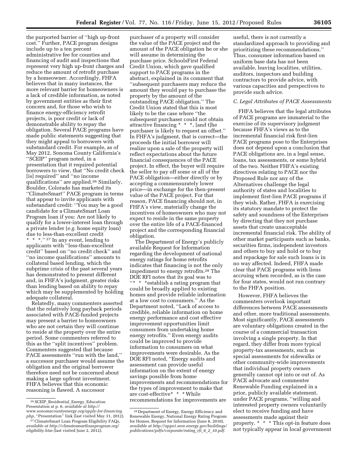the purported barrier of ''high up-front cost.'' Further, PACE program designs include up to a ten percent administrative fee for counties and financing of audit and inspections that represent very high up-front charges and reduce the amount of retrofit purchase by a homeowner. Accordingly, FHFA believes that in many instances, the more relevant barrier for homeowners is a lack of credible information, as noted by government entities as their first concern and, for those who wish to finance energy-efficiency retrofit projects, is poor credit or lack of demonstrable ability to repay the obligation. Several PACE programs have made public statements suggesting that they might appeal to borrowers with substandard credit. For example, as of May 2012, Sonoma County California's ''SCEIP'' program noted, in a presentation that it required potential borrowers to view, that ''No credit check [is] required'' and ''no income qualifications'' are applied.26 Similarly, Boulder, Colorado has marketed its ''ClimateSmart'' PACE program in terms that appear to invite applicants with substandard credit: ''You may be a good candidate for a ClimateSmart Loan Program loan if you: Are not likely to qualify for a lower-interest loan through a private lender (*e.g.* home equity loan) due to less-than-excellent credit \* \* \*.'' 27 In any event, lending to applicants with ''less-than-excellent credit'' based on ''no credit check'' and ''no income qualifications'' amounts to collateral based lending, which the subprime crisis of the past several years has demonstrated to present different and, in FHFA's judgment, greater risks than lending based on ability to repay which may be supplemented by holding adequate collateral.

Relatedly, many commenters asserted that the relatively long payback periods associated with PACE-funded projects may present a barrier to homeowners who are not certain they will continue to reside at the property over the entire period. Some commenters referred to this as the ''split incentives'' problem. Commenters suggested that because PACE assessments ''run with the land,'' a successor purchaser would assume the obligation and the original borrower therefore need not be concerned about making a large upfront investment. FHFA believes that this economic reasoning is flawed. A successor

purchaser of a property will consider the value of the PACE project and the amount of the PACE obligation he or she will assume in determining the purchase price. SchoolsFirst Federal Credit Union, which gave qualified support to PACE programs in the abstract, explained in its comment that ''subsequent purchasers may reduce the amount they would pay to purchase the property by the amount of the outstanding PACE obligation.'' The Credit Union stated that this is most likely to be the case where ''the subsequent purchaser could not obtain attractive financing \* \* \*, [and t]he purchaser is likely to request an offset.'' In FHFA's judgment, that is correct—the proceeds the initial borrower will realize upon a sale of the property will reflect expectations about the future financial consequences of the PACE project. In effect, the buyer will require the seller to pay off some or all of the PACE obligation—either directly or by accepting a commensurately lower price—in exchange for the then-present value of the PACE project. For that reason, PACE financing should not, in FHFA's view, materially change the incentives of homeowners who may not expect to reside in the same property over the entire life of a PACE-financed project and the corresponding financial obligation.

The Department of Energy's publicly available Request for Information regarding the development of national energy ratings for home retrofits indicates that financing is not the only impediment to energy retrofits.28 The DOE RFI notes that its goal was to ''\* \* \*establish a rating program that could be broadly applied to existing homes and provide reliable information at a low cost to consumers.'' As the Department noted, ''Lack of access to credible, reliable information on home energy performance and cost effective improvement opportunities limit consumers from undertaking home energy retrofits.'' Even energy audits could be improved to provide information to consumers on what improvements were desirable. As the DOE RFI noted, ''Energy audits and assessment can provide useful information on the extent of energy savings possible from home improvements and recommendations for the types of improvement to make that are cost-effective\* \* \* While recommendations for improvements are

useful, there is not currently a standardized approach to providing and prioritizing these recommendations.'' Thus, consumer information based on uniform base data has not been available, leaving localities, utilities, auditors, inspectors and building contractors to provide advice, with various capacities and perspectives to provide such advice.

#### *C. Legal Attributes of PACE Assessments*

FHFA believes that the legal attributes of PACE programs are immaterial to the exercise of its supervisory judgment because FHFA's views as to the incremental financial risk first-lien PACE programs pose to the Enterprises does not depend upon a conclusion that PACE obligations are, in a legal sense, loans, tax assessments, or some hybrid of the two. Neither FHFA's existing directives relating to PACE nor the Proposed Rule nor any of the Alternatives challenge the legal authority of states and localities to implement first-lien PACE programs if they wish. Rather, FHFA is exercising its statutory mandate to protect the safety and soundness of the Enterprises by directing that they not purchase assets that create unacceptable incremental financial risk. The ability of other market participants such as banks, securities firms, independent investors and others to buy and hold or to buy and repackage for sale such loans is in no way affected. Indeed, FHFA made clear that PACE programs with liens accruing when recorded, as is the case for four states, would not run contrary to the FHFA position.

However, FHFA believes the commenters overlook important differences between PACE assessments and other, more traditional assessments. Most significantly, PACE assessments are voluntary obligations created in the course of a commercial transaction involving a single property. In that regard, they differ from more typical property-tax assessments, such as special assessments for sidewalks or other community-wide improvements that individual property owners generally cannot opt into or out of. As PACE advocate and commenter Renewable Funding explained in a prior, publicly available statement, under PACE programs, ''willing and interested property owners voluntarily elect to receive funding and have assessments made against their property. \* \* \* This opt-in feature does not typically appear in local government

<sup>26</sup>SCEIP\_Residential\_Energy\_Education Presentation at p. 6, *available at [http://](http://www.sonomacountyenergy.org/apply-for-financing.php) [www.sonomacountyenergy.org/apply-for-financing.](http://www.sonomacountyenergy.org/apply-for-financing.php) [php,](http://www.sonomacountyenergy.org/apply-for-financing.php)* ''Presentation'' link (last visited May 31, 2012).

<sup>&</sup>lt;sup>27</sup> ClimateSmart Loan Program Eligibility FAQs, *available at [http://climatesmartloanprogram.org/](http://climatesmartloanprogram.org/eligibility.htm) [eligibility.htm](http://climatesmartloanprogram.org/eligibility.htm)* (last visited June 2, 2012).

<sup>28</sup> Department of Energy, Energy Efficiency and Renewable Energy, National Energy Rating Program for Homes, Request for Information (June 8, 2010), *available at [http://apps1.eere.energy.gov/buildings/](http://apps1.eere.energy.gov/buildings/publications/pdfs/corporate/rating_rfi_6_2_10.pdf) [publications/pdfs/corporate/rating](http://apps1.eere.energy.gov/buildings/publications/pdfs/corporate/rating_rfi_6_2_10.pdf)*\_*rfi*\_*6*\_*2*\_*10.pdf.*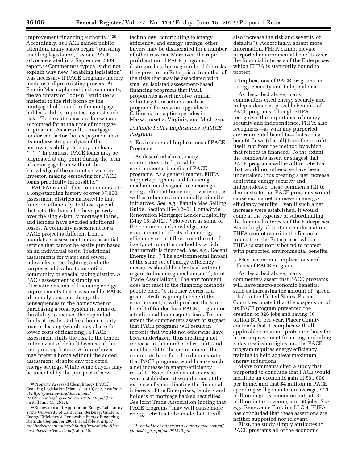improvement financing authority.'' 29 Accordingly, as PACE gained public attention, many states began ''pursuing enabling legislation,'' as one PACE advocate stated in a September 2009 report.30 Commenters typically did not explain why new ''enabling legislation'' was necessary if PACE programs merely made use of pre-existing powers. As Fannie Mae explained in its comments, the voluntary or ''opt-in'' attribute is material to the risk borne by the mortgage holder and to the mortgage holder's ability to protect against such risk. ''Real estate taxes are known and accounted for at the time of mortgage origination. As a result, a mortgage lender can factor the tax payment into its underwriting analysis of the borrower's ability to repay the loan. \* \* \* In contrast, PACE loans may be originated at any point during the term of a mortgage loan without the knowledge of the current servicer or investor, making escrowing for PACE loans practically impossible.''

PACE*Now* and other commenters cite a long-standing history of over 37,000 assessment districts nationwide that function efficiently. In those special districts, the liens also have priority over the single-family mortgage loans, and lenders have avoided additional losses. A voluntary assessment for a PACE project is different from a mandatory assessment for an essential service that cannot be easily purchased on an individual basis. Traditional assessments for water and sewer, sidewalks, street lighting, and other purposes add value to an entire community or special taxing district. A PACE assessment is simply an alternative means of financing energy improvements that is assumable. PACE ultimately does not change the consequences to the homeowner of purchasing a solar system in terms of the ability to recover the expended funds at resale. Unlike a home equity loan or leasing (which may also offer lower costs of financing), a PACE assessment shifts the risk to the lender in the event of default because of the lien-priming feature. A future buyer may prefer a home without the added assessment, despite any projected energy savings. While some buyers may be incented by the prospect of new

technology, contributing to energy efficiency, and energy savings, other buyers may be disincented for a number of other reasons. Moreover, the rapid proliferation of PACE programs distinguishes the magnitude of the risks they pose to the Enterprises from that of the risks that may be associated with smaller, isolated assessment-based financing programs that PACE proponents assert involve similar voluntary transactions, such as programs for seismic upgrades in California or septic upgrades in Massachusetts, Virginia, and Michigan.

*D. Public Policy Implications of PACE Programs* 

1. Environmental Implications of PACE Programs

As described above, many commenters cited possible environmental benefits of PACE programs. As a general matter, FHFA supports programs and financing mechanisms designed to encourage energy-efficient home improvements, as well as other environmentally-friendly initiatives. *See, e.g.,* Fannie Mae Selling Guide, Section B5–3.2–01 HomeStyle Renovation Mortgage: Lender Eligibility (May 15, 2012). $31$  However, as some of the comments acknowledge, any environmental effects of an energyefficiency retrofit flow from the retrofit itself, not from the method by which that retrofit is financed. *See, e.g.,* Decent Energy Inc. (''The environmental impact of the same set of energy efficiency measures should be identical without regard to financing mechanism.''); Joint Trade Association (''The environment does not react to the financing methods people elect.''). In other words, if a given retrofit is going to benefit the environment, it will produce the same benefit if funded by a PACE program or a traditional home equity loan. To the extent the commenters assert or suggest that PACE programs will result in retrofits that would not otherwise have been undertaken, thus creating a net increase in the number of retrofits and a net benefit to the environment, the comments have failed to demonstrate that PACE programs would cause such a net increase in energy-efficiency retrofits. Even if such a net increase were established, it would come at the expense of subordinating the financial interests of the Enterprises, lenders and holders of mortgage backed securities. *See* Joint Trade Association (noting that PACE programs ''may well cause more energy retrofits to be made, but it will

also increase the risk and severity of defaults''). Accordingly, absent more information, FHFA cannot elevate purported environmental benefits over the financial interests of the Enterprises, which FHFA is statutorily bound to protect.

2. Implications of PACE Programs on Energy Security and Independence

As described above, many commenters cited energy security and independence as possible benefits of PACE programs. Though FHFA recognizes the importance of energy security and independence, FHFA also recognizes—as with any purported environmental benefits—that such a benefit flows (if at all) from the retrofit itself, not from the method by which that retrofit is financed. To the extent the comments assert or suggest that PACE programs will result in retrofits that would not otherwise have been undertaken, thus creating a net increase achieving energy security and independence, these comments fail to demonstrate that PACE programs would cause such a net increase in energyefficiency retrofits. Even if such a net increase were established, it would come at the expense of subordinating the financial interests of the Enterprises. Accordingly, absent more information, FHFA cannot override the financial interests of the Enterprises, which FHFA is statutorily bound to protect, with purported environmental benefits.

3. Macroeconomic Implications and Effects of PACE Programs

As described above, many commenters assert that PACE programs will have macro-economic benefits, such as increasing the amount of ''green jobs'' in the United States. Placer County estimated that the suspension of its PACE program prevented the creation of 326 jobs and saving 36 billion BTU per year. Placer County contends that it complies with all applicable consumer protection laws for home improvement financing, including 3-day rescission rights and the PACE program requires energy efficiency training to help achieve maximum energy reductions.

Many comments cited a study that purported to conclude that PACE would facilitate an economic gain of \$61,000 per home, and that \$4 million in PACE spending will generate, on average, \$10 million in gross economic output, \$1 million in tax revenue, and 60 jobs. *See, e.g.,* Renewable Funding LLC 9. FHFA has concluded that these assertions are neither supported nor relevant.

First, the study simply attributes to PACE programs all of the economic

<sup>29</sup>Property Assessed Clean Energy (PACE) Enabling Legislation (Mar. 18, 2010) at 2, *available at [http://pacenow.org/documents/](http://pacenow.org/documents/PACE_enablinglegislation%203.18.10.pdf) PACE*\_*[enablinglegislation%203.18.10.pdf](http://pacenow.org/documents/PACE_enablinglegislation%203.18.10.pdf)* (last

<sup>&</sup>lt;sup>30</sup> Renewable and Appropriate Energy Laboratory

at the University of California, Berkeley, Guide to Energy Efficiency & Renewable Energy Financing Districts (September 2009), available at *[http://](http://rael.berkeley.edu/sites/default/files/old-site-files/berkeleysolar/HowTo.pdf) [rael.berkeley.edu/sites/default/files/old-site-files/](http://rael.berkeley.edu/sites/default/files/old-site-files/berkeleysolar/HowTo.pdf)  [berkeleysolar/HowTo.pdf,](http://rael.berkeley.edu/sites/default/files/old-site-files/berkeleysolar/HowTo.pdf)* at p. 40.

<sup>31</sup>*Available at [https://www.efanniemae.com/sf/](https://www.efanniemae.com/sf/guides/ssg/sg/pdf/sel051512.pdf)  [guides/ssg/sg/pdf/sel051512.pdf.](https://www.efanniemae.com/sf/guides/ssg/sg/pdf/sel051512.pdf)*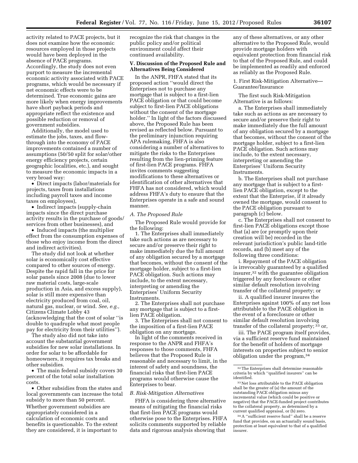activity related to PACE projects, but it does not examine how the economic resources employed in those projects would have been deployed in the absence of PACE programs. Accordingly, the study does not even purport to measure the incremental economic activity associated with PACE programs, which would be necessary if net economic effects were to be determined. True economic gains are more likely when energy improvements have short payback periods and appropriate reflect the existence and possible reduction or removal of government subsidies.

Additionally, the model used to estimate the jobs, taxes, and flowthrough into the economy of PACE improvements contained a number of assumptions (50/50 split for solar/other energy efficiency projects, certain geographic localities, etc.), and sought to measure the economic impacts in a very broad way:

• Direct impacts (labor/materials for projects, taxes from installations including payroll taxes and income taxes on employees),

• Indirect impacts (supply-chain impacts since the direct purchase activity results in the purchase of goods/ services from other businesses), and

• Induced impacts (the multiplier effect from the consumption expenses of those who enjoy income from the direct and indirect activities).

The study did not look at whether solar is economically cost effective compared to other sources of energy. Despite the rapid fall in the price for solar panels since 2008 (due to lower raw material costs, large-scale production in Asia, and excess supply), solar is still more expensive than electricity produced from coal, oil, natural gas, nuclear, or wind. *See, e.g.,*  Citizens Climate Lobby 43 (acknowledging that the cost of solar ''is double to quadruple what most people pay for electricity from their utilities'').

The study also did not take into account the substantial government subsidies for new solar installations. In order for solar to be affordable for homeowners, it requires tax breaks and other subsidies.

• The main federal subsidy covers 30 percent of the total solar installation costs.

• Other subsidies from the states and local governments can increase the total subsidy to more than 50 percent. Whether government subsidies are appropriately considered in a calculation of economic costs and benefits is questionable. To the extent they are considered, it is important to

recognize the risk that changes in the public policy and/or political environment could affect their continued availability.

# **V. Discussion of the Proposed Rule and Alternatives Being Considered**

In the ANPR, FHFA stated that its proposed action ''would direct the Enterprises not to purchase any mortgage that is subject to a first-lien PACE obligation or that could become subject to first-lien PACE obligations without the consent of the mortgage holder.'' In light of the factors discussed above, the Proposed Rule has been revised as reflected below. Pursuant to the preliminary injunction requiring APA rulemaking, FHFA is also considering a number of alternatives to mitigate the risks to the Enterprises resulting from the lien-priming feature of first-lien PACE programs. FHFA invites comments suggesting modifications to these alternatives or identification of other alternatives that FHFA has not considered, which would address FHFA's duty to ensure that the Enterprises operate in a safe and sound manner.

# *A. The Proposed Rule*

The Proposed Rule would provide for the following:

1. The Enterprises shall immediately take such actions as are necessary to secure and/or preserve their right to make immediately due the full amount of any obligation secured by a mortgage that becomes, without the consent of the mortgage holder, subject to a first-lien PACE obligation. Such actions may include, to the extent necessary, interpreting or amending the Enterprises' Uniform Security Instruments.

2. The Enterprises shall not purchase any mortgage that is subject to a firstlien PACE obligation.

3. The Enterprises shall not consent to the imposition of a first-lien PACE obligation on any mortgage.

In light of the comments received in response to the ANPR and FHFA's responses to those comments, FHFA believes that the Proposed Rule is reasonable and necessary to limit, in the interest of safety and soundness, the financial risks that first-lien PACE programs would otherwise cause the Enterprises to bear.

#### *B. Risk-Mitigation Alternatives*

FHFA is considering three alternative means of mitigating the financial risks that first-lien PACE programs would otherwise pose to the Enterprises. FHFA solicits comments supported by reliable data and rigorous analysis showing that

any of these alternatives, or any other alternative to the Proposed Rule, would provide mortgage holders with equivalent protection from financial risk to that of the Proposed Rule, and could be implemented as readily and enforced as reliably as the Proposed Rule.

1. First Risk-Mitigation Alternative— Guarantee/Insurance

The first such Risk-Mitigation Alternative is as follows:

a. The Enterprises shall immediately take such as actions as are necessary to secure and/or preserve their right to make immediately due the full amount of any obligation secured by a mortgage that becomes, without the consent of the mortgage holder, subject to a first-lien PACE obligation. Such actions may include, to the extent necessary, interpreting or amending the Enterprises' Uniform Security Instruments.

b. The Enterprises shall not purchase any mortgage that is subject to a firstlien PACE obligation, except to the extent that the Enterprise, if it already owned the mortgage, would consent to the PACE obligation pursuant to paragraph (c) below.

c. The Enterprises shall not consent to first-lien PACE obligations except those that (a) are (or promptly upon their creation will be) recorded in the relevant jurisdiction's public land-title records, and (b) meet any of the following three conditions:

i. Repayment of the PACE obligation is irrevocably guaranteed by a qualified insurer,32 with the guarantee obligation triggered by any foreclosure or other similar default resolution involving transfer of the collateral property; or

ii. A qualified insurer insures the Enterprises against 100% of any net loss attributable to the PACE obligation in the event of a foreclosure or other similar default resolution involving transfer of the collateral property; 33 or,

iii. The PACE program itself provides, via a sufficient reserve fund maintained for the benefit of holders of mortgage interests on properties subject to senior obligation under the program,34

34A ''sufficient reserve fund'' shall be a reserve fund that provides, on an actuarially sound basis, protection at least equivalent to that of a qualified insurer.

<sup>32</sup>The Enterprises shall determine reasonable criteria by which ''qualified insurers'' can be identified.

<sup>33</sup>Net loss attributable to the PACE obligation shall be the greater of (a) the amount of the outstanding PACE obligation minus any incremental value (which could be positive or negative) that the PACE-funded project contributes to the collateral property, as determined by a current qualified appraisal, or (b) zero.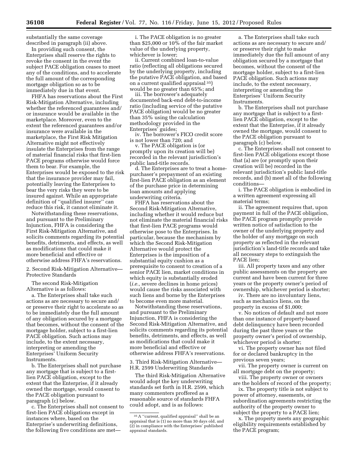substantially the same coverage described in paragraph (ii) above.

In providing such consent, the Enterprises shall reserve the rights to revoke the consent in the event the subject PACE obligation ceases to meet any of the conditions, and to accelerate the full amount of the corresponding mortgage obligation so as to be immediately due in that event.

FHFA has reservations about the First Risk-Mitigation Alternative, including whether the referenced guarantees and/ or insurance would be available in the marketplace. Moreover, even to the extent the referenced guarantees and/or insurance were available in the marketplace, the First Risk Mitigation Alternative might not effectively insulate the Enterprises from the range of material financial risks that first-lien PACE programs otherwise would force them to bear. For example, the Enterprises would be exposed to the risk that the insurance provider may fail, potentially leaving the Enterprises to bear the very risks they were to be insured against. While an appropriate definition of ''qualified insurer'' can reduce this risk, it cannot eliminate it.

Notwithstanding these reservations, and pursuant to the Preliminary Injunction, FHFA is considering the First Risk-Mitigation Alternative, and solicits comments regarding its potential benefits, detriments, and effects, as well as modifications that could make it more beneficial and effective or otherwise address FHFA's reservations.

2. Second Risk-Mitigation Alternative— Protective Standards

The second Risk-Mitigation Alternative is as follows:

a. The Enterprises shall take such actions as are necessary to secure and/ or preserve their right to accelerate so as to be immediately due the full amount of any obligation secured by a mortgage that becomes, without the consent of the mortgage holder, subject to a first-lien PACE obligation. Such actions may include, to the extent necessary, interpreting or amending the Enterprises' Uniform Security Instruments.

b. The Enterprises shall not purchase any mortgage that is subject to a firstlien PACE obligation, except to the extent that the Enterprise, if it already owned the mortgage, would consent to the PACE obligation pursuant to paragraph (c) below.

c. The Enterprises shall not consent to first-lien PACE obligations except in instances where, based on the Enterprise's underwriting definitions, the following five conditions are met—

i. The PACE obligation is no greater than \$25,000 or  $10\%$  of the fair market value of the underlying property, whichever is lower;

ii. Current combined loan-to-value ratio (reflecting all obligations secured by the underlying property, including the putative PACE obligation, and based on a current qualified appraisal 35) would be no greater than 65%; and

iii. The borrower's adequately documented back-end debt-to-income ratio (including service of the putative PACE obligation) would be no greater than 35% using the calculation methodology provided in the Enterprises' guides;

iv. The borrower's FICO credit score is not lower than 720; and

v. The PACE obligation is (or promptly upon its creation will be) recorded in the relevant jurisdiction's public land-title records.

d. The Enterprises are to treat a homepurchaser's prepayment of an existing first-lien PACE obligation as an element of the purchase price in determining loan amounts and applying underwriting criteria.

FHFA has reservations about the Second Risk-Mitigation Alternative, including whether it would reduce but not eliminate the material financial risks that first-lien PACE programs would otherwise pose to the Enterprises. In particular, because the mechanism by which the Second Risk-Mitigation Alternative would protect the Enterprises is the imposition of a substantial equity cushion as a prerequisite to consent to creation of a senior PACE lien, market conditions in which equity is substantially eroded (*i.e.,* severe declines in home prices) would cause the risks associated with such liens and borne by the Enterprises to become even more material.

Notwithstanding these reservations, and pursuant to the Preliminary Injunction, FHFA is considering the Second Risk-Mitigation Alternative, and solicits comments regarding its potential benefits, detriments, and effects, as well as modifications that could make it more beneficial and effective or otherwise address FHFA's reservations.

3. Third Risk-Mitigation Alternative— H.R. 2599 Underwriting Standards

The third Risk-Mitigation Alternative would adopt the key underwriting standards set forth in H.R. 2599, which many commenters proffered as a reasonable source of standards FHFA could adopt, and is as follows:

a. The Enterprises shall take such actions as are necessary to secure and/ or preserve their right to make immediately due the full amount of any obligation secured by a mortgage that becomes, without the consent of the mortgage holder, subject to a first-lien PACE obligation. Such actions may include, to the extent necessary, interpreting or amending the Enterprises' Uniform Security Instruments.

b. The Enterprises shall not purchase any mortgage that is subject to a firstlien PACE obligation, except to the extent that the Enterprise, if it already owned the mortgage, would consent to the PACE obligation pursuant to paragraph (c) below.

c. The Enterprises shall not consent to first-lien PACE obligations except those that (a) are (or promptly upon their creation will be) recorded in the relevant jurisdiction's public land-title records, and (b) meet all of the following conditions—

i. The PACE obligation is embodied in a written agreement expressing all material terms;

ii. The agreement requires that, upon payment in full of the PACE obligation, the PACE program promptly provide written notice of satisfaction to the owner of the underlying property and the holder of any mortgage on such property as reflected in the relevant jurisdiction's land-title records and take all necessary steps to extinguish the PACE lien;

iii. All property taxes and any other public assessments on the property are current and have been current for three years or the property owner's period of ownership, whichever period is shorter;

iv. There are no involuntary liens, such as mechanics liens, on the property in excess of \$1,000;

v. No notices of default and not more than one instance of property-based debt delinquency have been recorded during the past three years or the property owner's period of ownership, whichever period is shorter;

vi. The property owner has not filed for or declared bankruptcy in the previous seven years;

vii. The property owner is current on all mortgage debt on the property;

viii. The property owner or owners are the holders of record of the property;

ix. The property title is not subject to power of attorney, easements, or subordination agreements restricting the authority of the property owner to subject the property to a PACE lien;

x. The property meets any geographic eligibility requirements established by the PACE program;

<sup>35</sup>A ''current, qualified appraisal'' shall be an appraisal that is (1) no more than 30 days old, and (2) in compliance with the Enterprises' published appraisal standards.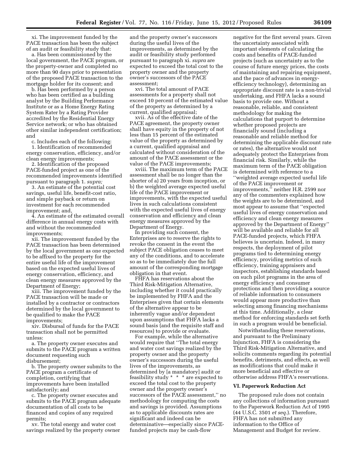xi. The improvement funded by the PACE transaction has been the subject of an audit or feasibility study that:

a. Has been commissioned by the local government, the PACE program, or the property-owner and completed no more than 90 days prior to presentation of the proposed PACE transaction to the mortgage holder for its consent; and

b. Has been performed by a person who has been certified as a building analyst by the Building Performance Institute or as a Home Energy Rating System Rater by a Rating Provider accredited by the Residential Energy Service network; or who has obtained other similar independent certification; and

c. Includes each of the following:

1. Identification of recommended energy conservation, efficiency, and/or clean energy improvements;

2. Identification of the proposed PACE-funded project as one of the recommended improvements identified pursuant to paragraph 1. *supra;* 

3. An estimate of the potential cost savings, useful life, benefit-cost ratio, and simple payback or return on investment for each recommended improvement; and,

4. An estimate of the estimated overall difference in annual energy costs with and without the recommended improvements;

xii. The improvement funded by the PACE transaction has been determined by the local government as one expected to be affixed to the property for the entire useful life of the improvement based on the expected useful lives of energy conservation, efficiency, and clean energy measures approved by the Department of Energy;

xiii. The improvement funded by the PACE transaction will be made or installed by a contractor or contractors determined by the local government to be qualified to make the PACE improvements;

xiv. Disbursal of funds for the PACE transaction shall not be permitted unless:

a. The property owner executes and submits to the PACE program a written document requesting such disbursement;

b. The property owner submits to the PACE program a certificate of completion, certifying that improvements have been installed satisfactorily; and

c. The property owner executes and submits to the PACE program adequate documentation of all costs to be financed and copies of any required permits;

xv. The total energy and water cost savings realized by the property owner

and the property owner's successors during the useful lives of the improvements, as determined by the audit or feasibility study performed pursuant to paragraph xi. *supra* are expected to exceed the total cost to the property owner and the property owner's successors of the PACE assessment;

xvi. The total amount of PACE assessments for a property shall not exceed 10 percent of the estimated value of the property as determined by a current, qualified appraisal;

xvii. As of the effective date of the PACE agreement, the property owner shall have equity in the property of not less than 15 percent of the estimated value of the property as determined by a current, qualified appraisal and calculated without consideration of the amount of the PACE assessment or the value of the PACE improvements;

xviii. The maximum term of the PACE assessment shall be no longer than the shorter of a) 20 years from inception, or b) the weighted average expected useful life of the PACE improvement or improvements, with the expected useful lives in such calculations consistent with the expected useful lives of energy conservation and efficiency and clean energy measures approved by the Department of Energy.

In providing such consent, the Enterprises are to reserve the rights to revoke the consent in the event the subject PACE obligation ceases to meet any of the conditions, and to accelerate so as to be immediately due the full amount of the corresponding mortgage obligation in that event.

FHFA has reservations about the Third Risk-Mitigation Alternative, including whether it could practically be implemented by FHFA and the Enterprises given that certain elements of the alternative appear to be inherently vague and/or dependent upon assumptions that FHFA lacks a sound basis (and the requisite staff and resources) to provide or evaluate.

For example, while the alternative would require that ''The total energy and water cost savings realized by the property owner and the property owner's successors during the useful lives of the improvements, as determined by [a mandatory] audit or feasibility study \* \* \* are expected to exceed the total cost to the property owner and the property owner's successors of the PACE assessment,'' no methodology for computing the costs and savings is provided. Assumptions as to applicable discounts rates are significant and indeed can be determinative—especially since PACEfunded projects may be cash-flow

negative for the first several years. Given the uncertainty associated with important elements of calculating the costs and benefits of PACE-funded projects (such as uncertainty as to the course of future energy prices, the costs of maintaining and repairing equipment, and the pace of advances in energyefficiency technology), determining an appropriate discount rate is a non-trivial undertaking, and FHFA lacks a sound basis to provide one. Without a reasonable, reliable, and consistent methodology for making the calculations that purport to determine whether proposed projects are financially sound (including a reasonable and reliable method for determining the applicable discount rate or rates), the alternative would not adequately protect the Enterprises from financial risk. Similarly, while the maximum term of the PACE obligation is determined with reference to a ''weighted average expected useful life of the PACE improvement or improvements,'' neither H.R. 2599 nor any of the commenters explained how the weights are to be determined, and most appear to assume that ''expected useful lives of energy conservation and efficiency and clean energy measures approved by the Department of Energy'' will be available and reliable for all PACE-funded projects, which FHFA believes is uncertain. Indeed, in many respects, the deployment of pilot programs tied to determining energy efficiency, providing metrics of such efficiency, training appraisers and inspectors, establishing standards based on such pilot programs in the area of energy efficiency and consumer protections and then providing a source of reliable information to consumers would appear more productive than selecting among financing mechanisms at this time. Additionally, a clear method for enforcing standards set forth in such a program would be beneficial.

Notwithstanding these reservations, and pursuant to the Preliminary Injunction, FHFA is considering the Third Risk-Mitigation Alternative, and solicits comments regarding its potential benefits, detriments, and effects, as well as modifications that could make it more beneficial and effective or otherwise address FHFA's reservations.

# **VI. Paperwork Reduction Act**

The proposed rule does not contain any collections of information pursuant to the Paperwork Reduction Act of 1995 (44 U.S.C. 3501 *et seq.*). Therefore, FHFA has not submitted any information to the Office of Management and Budget for review.